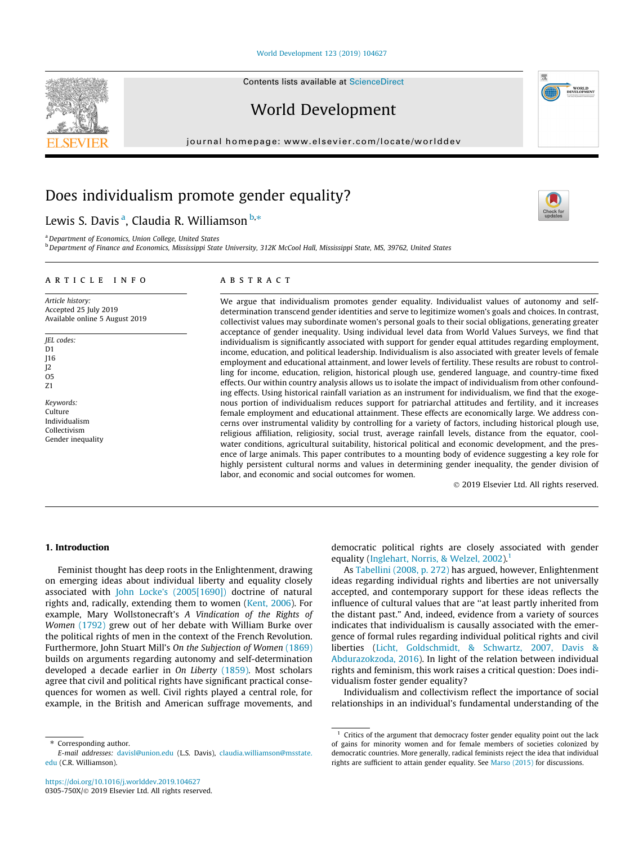#### [World Development 123 \(2019\) 104627](https://doi.org/10.1016/j.worlddev.2019.104627)

Contents lists available at [ScienceDirect](http://www.sciencedirect.com/science/journal/0305750X)

World Development

journal homepage: [www.elsevier.com/locate/worlddev](http://www.elsevier.com/locate/worlddev)

# Does individualism promote gender equality?

## Lewis S. Davis <sup>a</sup>, Claudia R. Williamson  $^{\text{b},\ast}$

a Department of Economics, Union College, United States

<sup>b</sup> Department of Finance and Economics, Mississippi State University, 312K McCool Hall, Mississippi State, MS, 39762, United States

### article info

Article history: Accepted 25 July 2019 Available online 5 August 2019

JEL codes: D<sub>1</sub> J16 J2  $O<sub>5</sub>$ Z1

Keywords: Culture Individualism Collectivism Gender inequality

## **ABSTRACT**

We argue that individualism promotes gender equality. Individualist values of autonomy and selfdetermination transcend gender identities and serve to legitimize women's goals and choices. In contrast, collectivist values may subordinate women's personal goals to their social obligations, generating greater acceptance of gender inequality. Using individual level data from World Values Surveys, we find that individualism is significantly associated with support for gender equal attitudes regarding employment, income, education, and political leadership. Individualism is also associated with greater levels of female employment and educational attainment, and lower levels of fertility. These results are robust to controlling for income, education, religion, historical plough use, gendered language, and country-time fixed effects. Our within country analysis allows us to isolate the impact of individualism from other confounding effects. Using historical rainfall variation as an instrument for individualism, we find that the exogenous portion of individualism reduces support for patriarchal attitudes and fertility, and it increases female employment and educational attainment. These effects are economically large. We address concerns over instrumental validity by controlling for a variety of factors, including historical plough use, religious affiliation, religiosity, social trust, average rainfall levels, distance from the equator, coolwater conditions, agricultural suitability, historical political and economic development, and the presence of large animals. This paper contributes to a mounting body of evidence suggesting a key role for highly persistent cultural norms and values in determining gender inequality, the gender division of labor, and economic and social outcomes for women.

2019 Elsevier Ltd. All rights reserved.

### 1. Introduction

Feminist thought has deep roots in the Enlightenment, drawing on emerging ideas about individual liberty and equality closely associated with [John Locke's \(2005\[1690\]\)](#page-15-0) doctrine of natural rights and, radically, extending them to women [\(Kent, 2006\)](#page-15-0). For example, Mary Wollstonecraft's A Vindication of the Rights of Women [\(1792\)](#page-15-0) grew out of her debate with William Burke over the political rights of men in the context of the French Revolution. Furthermore, John Stuart Mill's On the Subjection of Women [\(1869\)](#page-15-0) builds on arguments regarding autonomy and self-determination developed a decade earlier in On Liberty [\(1859\)](#page-15-0). Most scholars agree that civil and political rights have significant practical consequences for women as well. Civil rights played a central role, for example, in the British and American suffrage movements, and

\* Corresponding author. E-mail addresses: [davisl@union.edu](mailto:davisl@union.edu) (L.S. Davis), [claudia.williamson@msstate.](mailto:claudia.williamson@msstate.edu) [edu](mailto:claudia.williamson@msstate.edu) (C.R. Williamson).

democratic political rights are closely associated with gender equality ([Inglehart, Norris, & Welzel, 2002](#page-15-0)).<sup>1</sup>

As [Tabellini \(2008, p. 272\)](#page-15-0) has argued, however, Enlightenment ideas regarding individual rights and liberties are not universally accepted, and contemporary support for these ideas reflects the influence of cultural values that are ''at least partly inherited from the distant past." And, indeed, evidence from a variety of sources indicates that individualism is causally associated with the emergence of formal rules regarding individual political rights and civil liberties [\(Licht, Goldschmidt, & Schwartz, 2007, Davis &](#page-15-0) [Abdurazokzoda, 2016\)](#page-15-0). In light of the relation between individual rights and feminism, this work raises a critical question: Does individualism foster gender equality?

Individualism and collectivism reflect the importance of social relationships in an individual's fundamental understanding of the







 $1$  Critics of the argument that democracy foster gender equality point out the lack of gains for minority women and for female members of societies colonized by democratic countries. More generally, radical feminists reject the idea that individual rights are sufficient to attain gender equality. See [Marso \(2015\)](#page-15-0) for discussions.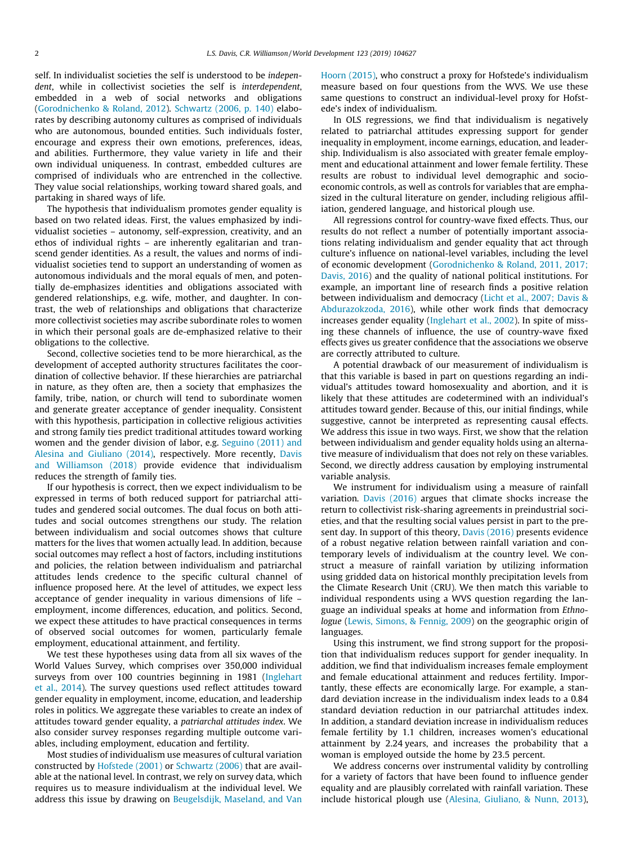self. In individualist societies the self is understood to be independent, while in collectivist societies the self is interdependent, embedded in a web of social networks and obligations ([Gorodnichenko & Roland, 2012](#page-14-0)). [Schwartz \(2006, p. 140\)](#page-15-0) elaborates by describing autonomy cultures as comprised of individuals who are autonomous, bounded entities. Such individuals foster, encourage and express their own emotions, preferences, ideas, and abilities. Furthermore, they value variety in life and their own individual uniqueness. In contrast, embedded cultures are comprised of individuals who are entrenched in the collective. They value social relationships, working toward shared goals, and partaking in shared ways of life.

The hypothesis that individualism promotes gender equality is based on two related ideas. First, the values emphasized by individualist societies – autonomy, self-expression, creativity, and an ethos of individual rights – are inherently egalitarian and transcend gender identities. As a result, the values and norms of individualist societies tend to support an understanding of women as autonomous individuals and the moral equals of men, and potentially de-emphasizes identities and obligations associated with gendered relationships, e.g. wife, mother, and daughter. In contrast, the web of relationships and obligations that characterize more collectivist societies may ascribe subordinate roles to women in which their personal goals are de-emphasized relative to their obligations to the collective.

Second, collective societies tend to be more hierarchical, as the development of accepted authority structures facilitates the coordination of collective behavior. If these hierarchies are patriarchal in nature, as they often are, then a society that emphasizes the family, tribe, nation, or church will tend to subordinate women and generate greater acceptance of gender inequality. Consistent with this hypothesis, participation in collective religious activities and strong family ties predict traditional attitudes toward working women and the gender division of labor, e.g. [Seguino \(2011\) and](#page-15-0) [Alesina and Giuliano \(2014\)](#page-15-0), respectively. More recently, [Davis](#page-14-0) [and Williamson \(2018\)](#page-14-0) provide evidence that individualism reduces the strength of family ties.

If our hypothesis is correct, then we expect individualism to be expressed in terms of both reduced support for patriarchal attitudes and gendered social outcomes. The dual focus on both attitudes and social outcomes strengthens our study. The relation between individualism and social outcomes shows that culture matters for the lives that women actually lead. In addition, because social outcomes may reflect a host of factors, including institutions and policies, the relation between individualism and patriarchal attitudes lends credence to the specific cultural channel of influence proposed here. At the level of attitudes, we expect less acceptance of gender inequality in various dimensions of life – employment, income differences, education, and politics. Second, we expect these attitudes to have practical consequences in terms of observed social outcomes for women, particularly female employment, educational attainment, and fertility.

We test these hypotheses using data from all six waves of the World Values Survey, which comprises over 350,000 individual surveys from over 100 countries beginning in 1981 ([Inglehart](#page-15-0) [et al., 2014\)](#page-15-0). The survey questions used reflect attitudes toward gender equality in employment, income, education, and leadership roles in politics. We aggregate these variables to create an index of attitudes toward gender equality, a patriarchal attitudes index. We also consider survey responses regarding multiple outcome variables, including employment, education and fertility.

Most studies of individualism use measures of cultural variation constructed by [Hofstede \(2001\)](#page-15-0) or [Schwartz \(2006\)](#page-15-0) that are available at the national level. In contrast, we rely on survey data, which requires us to measure individualism at the individual level. We address this issue by drawing on [Beugelsdijk, Maseland, and Van](#page-14-0) [Hoorn \(2015\),](#page-14-0) who construct a proxy for Hofstede's individualism measure based on four questions from the WVS. We use these same questions to construct an individual-level proxy for Hofstede's index of individualism.

In OLS regressions, we find that individualism is negatively related to patriarchal attitudes expressing support for gender inequality in employment, income earnings, education, and leadership. Individualism is also associated with greater female employment and educational attainment and lower female fertility. These results are robust to individual level demographic and socioeconomic controls, as well as controls for variables that are emphasized in the cultural literature on gender, including religious affiliation, gendered language, and historical plough use.

All regressions control for country-wave fixed effects. Thus, our results do not reflect a number of potentially important associations relating individualism and gender equality that act through culture's influence on national-level variables, including the level of economic development ([Gorodnichenko & Roland, 2011, 2017;](#page-14-0) [Davis, 2016](#page-14-0)) and the quality of national political institutions. For example, an important line of research finds a positive relation between individualism and democracy ([Licht et al., 2007; Davis &](#page-15-0) [Abdurazokzoda, 2016](#page-15-0)), while other work finds that democracy increases gender equality [\(Inglehart et al., 2002](#page-15-0)). In spite of missing these channels of influence, the use of country-wave fixed effects gives us greater confidence that the associations we observe are correctly attributed to culture.

A potential drawback of our measurement of individualism is that this variable is based in part on questions regarding an individual's attitudes toward homosexuality and abortion, and it is likely that these attitudes are codetermined with an individual's attitudes toward gender. Because of this, our initial findings, while suggestive, cannot be interpreted as representing causal effects. We address this issue in two ways. First, we show that the relation between individualism and gender equality holds using an alternative measure of individualism that does not rely on these variables. Second, we directly address causation by employing instrumental variable analysis.

We instrument for individualism using a measure of rainfall variation. [Davis \(2016\)](#page-14-0) argues that climate shocks increase the return to collectivist risk-sharing agreements in preindustrial societies, and that the resulting social values persist in part to the present day. In support of this theory, [Davis \(2016\)](#page-14-0) presents evidence of a robust negative relation between rainfall variation and contemporary levels of individualism at the country level. We construct a measure of rainfall variation by utilizing information using gridded data on historical monthly precipitation levels from the Climate Research Unit (CRU). We then match this variable to individual respondents using a WVS question regarding the language an individual speaks at home and information from Ethnologue ([Lewis, Simons, & Fennig, 2009\)](#page-15-0) on the geographic origin of languages.

Using this instrument, we find strong support for the proposition that individualism reduces support for gender inequality. In addition, we find that individualism increases female employment and female educational attainment and reduces fertility. Importantly, these effects are economically large. For example, a standard deviation increase in the individualism index leads to a 0.84 standard deviation reduction in our patriarchal attitudes index. In addition, a standard deviation increase in individualism reduces female fertility by 1.1 children, increases women's educational attainment by 2.24 years, and increases the probability that a woman is employed outside the home by 23.5 percent.

We address concerns over instrumental validity by controlling for a variety of factors that have been found to influence gender equality and are plausibly correlated with rainfall variation. These include historical plough use [\(Alesina, Giuliano, & Nunn, 2013\)](#page-14-0),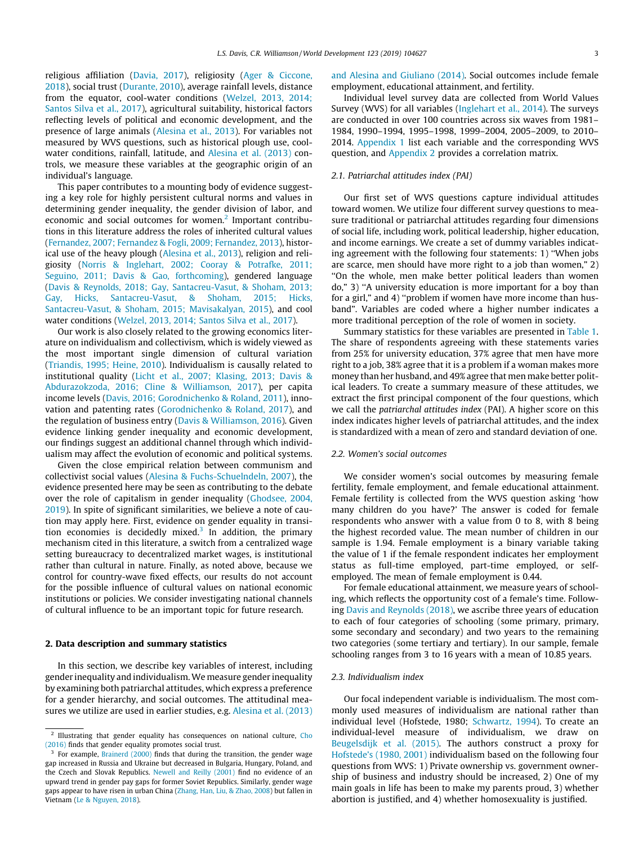<span id="page-2-0"></span>religious affiliation [\(Davia, 2017\)](#page-14-0), religiosity ([Ager & Ciccone,](#page-14-0) [2018\)](#page-14-0), social trust [\(Durante, 2010](#page-14-0)), average rainfall levels, distance from the equator, cool-water conditions ([Welzel, 2013, 2014;](#page-15-0) [Santos Silva et al., 2017](#page-15-0)), agricultural suitability, historical factors reflecting levels of political and economic development, and the presence of large animals [\(Alesina et al., 2013\)](#page-14-0). For variables not measured by WVS questions, such as historical plough use, coolwater conditions, rainfall, latitude, and [Alesina et al. \(2013\)](#page-14-0) controls, we measure these variables at the geographic origin of an individual's language.

This paper contributes to a mounting body of evidence suggesting a key role for highly persistent cultural norms and values in determining gender inequality, the gender division of labor, and economic and social outcomes for women.<sup>2</sup> Important contributions in this literature address the roles of inherited cultural values ([Fernandez, 2007; Fernandez & Fogli, 2009; Fernandez, 2013](#page-14-0)), historical use of the heavy plough [\(Alesina et al., 2013\)](#page-14-0), religion and religiosity ([Norris & Inglehart, 2002; Cooray & Potrafke, 2011;](#page-15-0) [Seguino, 2011; Davis & Gao, forthcoming](#page-15-0)), gendered language ([Davis & Reynolds, 2018; Gay, Santacreu-Vasut, & Shoham, 2013;](#page-14-0) [Gay, Hicks, Santacreu-Vasut, & Shoham, 2015; Hicks,](#page-14-0) [Santacreu-Vasut, & Shoham, 2015; Mavisakalyan, 2015](#page-14-0)), and cool water conditions [\(Welzel, 2013, 2014; Santos Silva et al., 2017](#page-15-0)).

Our work is also closely related to the growing economics literature on individualism and collectivism, which is widely viewed as the most important single dimension of cultural variation ([Triandis, 1995; Heine, 2010](#page-15-0)). Individualism is causally related to institutional quality [\(Licht et al., 2007; Klasing, 2013; Davis &](#page-15-0) [Abdurazokzoda, 2016; Cline & Williamson, 2017](#page-15-0)), per capita income levels ([Davis, 2016; Gorodnichenko & Roland, 2011](#page-14-0)), innovation and patenting rates [\(Gorodnichenko & Roland, 2017](#page-14-0)), and the regulation of business entry [\(Davis & Williamson, 2016\)](#page-14-0). Given evidence linking gender inequality and economic development, our findings suggest an additional channel through which individualism may affect the evolution of economic and political systems.

Given the close empirical relation between communism and collectivist social values [\(Alesina & Fuchs-Schuelndeln, 2007\)](#page-14-0), the evidence presented here may be seen as contributing to the debate over the role of capitalism in gender inequality [\(Ghodsee, 2004,](#page-14-0) [2019\)](#page-14-0). In spite of significant similarities, we believe a note of caution may apply here. First, evidence on gender equality in transition economies is decidedly mixed.<sup>3</sup> In addition, the primary mechanism cited in this literature, a switch from a centralized wage setting bureaucracy to decentralized market wages, is institutional rather than cultural in nature. Finally, as noted above, because we control for country-wave fixed effects, our results do not account for the possible influence of cultural values on national economic institutions or policies. We consider investigating national channels of cultural influence to be an important topic for future research.

#### 2. Data description and summary statistics

In this section, we describe key variables of interest, including gender inequality and individualism.We measure gender inequality by examining both patriarchal attitudes, which express a preference for a gender hierarchy, and social outcomes. The attitudinal measures we utilize are used in earlier studies, e.g. [Alesina et al. \(2013\)](#page-14-0) [and Alesina and Giuliano \(2014\)](#page-14-0). Social outcomes include female employment, educational attainment, and fertility.

Individual level survey data are collected from World Values Survey (WVS) for all variables [\(Inglehart et al., 2014\)](#page-15-0). The surveys are conducted in over 100 countries across six waves from 1981– 1984, 1990–1994, 1995–1998, 1999–2004, 2005–2009, to 2010– 2014. Appendix 1 list each variable and the corresponding WVS question, and Appendix 2 provides a correlation matrix.

#### 2.1. Patriarchal attitudes index (PAI)

Our first set of WVS questions capture individual attitudes toward women. We utilize four different survey questions to measure traditional or patriarchal attitudes regarding four dimensions of social life, including work, political leadership, higher education, and income earnings. We create a set of dummy variables indicating agreement with the following four statements: 1) ''When jobs are scarce, men should have more right to a job than women," 2) ''On the whole, men make better political leaders than women do," 3) ''A university education is more important for a boy than for a girl," and 4) ''problem if women have more income than husband". Variables are coded where a higher number indicates a more traditional perception of the role of women in society.

Summary statistics for these variables are presented in [Table 1.](#page-3-0) The share of respondents agreeing with these statements varies from 25% for university education, 37% agree that men have more right to a job, 38% agree that it is a problem if a woman makes more money than her husband, and 49% agree that men make better political leaders. To create a summary measure of these attitudes, we extract the first principal component of the four questions, which we call the patriarchal attitudes index (PAI). A higher score on this index indicates higher levels of patriarchal attitudes, and the index is standardized with a mean of zero and standard deviation of one.

#### 2.2. Women's social outcomes

We consider women's social outcomes by measuring female fertility, female employment, and female educational attainment. Female fertility is collected from the WVS question asking 'how many children do you have?' The answer is coded for female respondents who answer with a value from 0 to 8, with 8 being the highest recorded value. The mean number of children in our sample is 1.94. Female employment is a binary variable taking the value of 1 if the female respondent indicates her employment status as full-time employed, part-time employed, or selfemployed. The mean of female employment is 0.44.

For female educational attainment, we measure years of schooling, which reflects the opportunity cost of a female's time. Following [Davis and Reynolds \(2018\),](#page-14-0) we ascribe three years of education to each of four categories of schooling (some primary, primary, some secondary and secondary) and two years to the remaining two categories (some tertiary and tertiary). In our sample, female schooling ranges from 3 to 16 years with a mean of 10.85 years.

### 2.3. Individualism index

Our focal independent variable is individualism. The most commonly used measures of individualism are national rather than individual level (Hofstede, 1980; [Schwartz, 1994\)](#page-15-0). To create an individual-level measure of individualism, we draw on [Beugelsdijk et al. \(2015\)](#page-14-0). The authors construct a proxy for [Hofstede's \(1980, 2001\)](#page-15-0) individualism based on the following four questions from WVS: 1) Private ownership vs. government ownership of business and industry should be increased, 2) One of my main goals in life has been to make my parents proud, 3) whether abortion is justified, and 4) whether homosexuality is justified.

<sup>&</sup>lt;sup>2</sup> Illustrating that gender equality has consequences on national culture, [Cho](#page-14-0) [\(2016\)](#page-14-0) finds that gender equality promotes social trust.

For example, [Brainerd \(2000\)](#page-14-0) finds that during the transition, the gender wage gap increased in Russia and Ukraine but decreased in Bulgaria, Hungary, Poland, and the Czech and Slovak Republics. [Newell and Reilly \(2001\)](#page-15-0) find no evidence of an upward trend in gender pay gaps for former Soviet Republics. Similarly, gender wage gaps appear to have risen in urban China ([Zhang, Han, Liu, & Zhao, 2008\)](#page-15-0) but fallen in Vietnam [\(Le & Nguyen, 2018](#page-15-0)).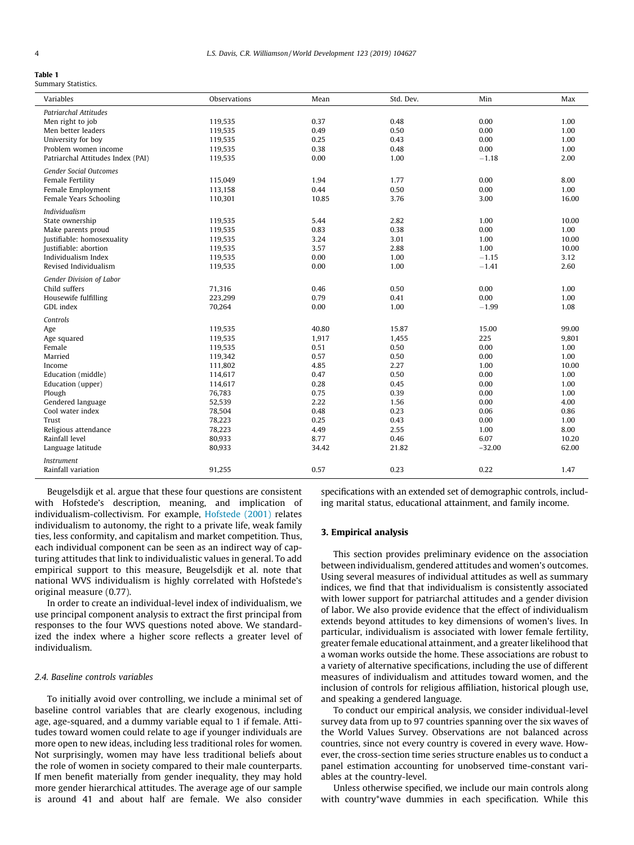<span id="page-3-0"></span>Summary Statistics.

| Variables                                           | Observations       | Mean         | Std. Dev.    | Min          | Max           |
|-----------------------------------------------------|--------------------|--------------|--------------|--------------|---------------|
| <b>Patriarchal Attitudes</b>                        |                    |              |              |              |               |
| Men right to job                                    | 119,535            | 0.37         | 0.48         | 0.00         | 1.00          |
| Men better leaders                                  | 119,535            | 0.49         | 0.50         | 0.00         | 1.00          |
| University for boy                                  | 119,535            | 0.25         | 0.43         | 0.00         | 1.00          |
| Problem women income                                | 119,535            | 0.38         | 0.48         | 0.00         | 1.00          |
| Patriarchal Attitudes Index (PAI)                   | 119,535            | 0.00         | 1.00         | $-1.18$      | 2.00          |
| <b>Gender Social Outcomes</b>                       |                    |              |              |              |               |
| Female Fertility                                    | 115,049            | 1.94         | 1.77         | 0.00         | 8.00          |
| Female Employment                                   | 113,158            | 0.44         | 0.50         | 0.00         | 1.00          |
| Female Years Schooling                              | 110,301            | 10.85        | 3.76         | 3.00         | 16.00         |
|                                                     |                    |              |              |              |               |
| Individualism                                       |                    |              |              |              |               |
| State ownership                                     | 119,535            | 5.44         | 2.82         | 1.00         | 10.00         |
| Make parents proud                                  | 119,535            | 0.83<br>3.24 | 0.38         | 0.00<br>1.00 | 1.00<br>10.00 |
| Justifiable: homosexuality<br>Justifiable: abortion | 119,535            | 3.57         | 3.01<br>2.88 | 1.00         | 10.00         |
| Individualism Index                                 | 119,535<br>119,535 | 0.00         | 1.00         | $-1.15$      | 3.12          |
| Revised Individualism                               | 119,535            | 0.00         | 1.00         | $-1.41$      | 2.60          |
|                                                     |                    |              |              |              |               |
| Gender Division of Labor                            |                    |              |              |              |               |
| Child suffers                                       | 71,316             | 0.46         | 0.50         | 0.00         | 1.00          |
| Housewife fulfilling                                | 223,299            | 0.79         | 0.41         | 0.00         | 1.00          |
| GDL index                                           | 70,264             | 0.00         | 1.00         | $-1.99$      | 1.08          |
| Controls                                            |                    |              |              |              |               |
| Age                                                 | 119,535            | 40.80        | 15.87        | 15.00        | 99.00         |
| Age squared                                         | 119,535            | 1,917        | 1,455        | 225          | 9,801         |
| Female                                              | 119.535            | 0.51         | 0.50         | 0.00         | 1.00          |
| Married                                             | 119,342            | 0.57         | 0.50         | 0.00         | 1.00          |
| Income                                              | 111,802            | 4.85         | 2.27         | 1.00         | 10.00         |
| Education (middle)                                  | 114,617            | 0.47         | 0.50         | 0.00         | 1.00          |
| Education (upper)                                   | 114,617            | 0.28         | 0.45         | 0.00         | 1.00          |
| Plough                                              | 76,783             | 0.75         | 0.39         | 0.00         | 1.00          |
| Gendered language                                   | 52,539             | 2.22         | 1.56         | 0.00         | 4.00          |
| Cool water index                                    | 78,504             | 0.48         | 0.23         | 0.06         | 0.86          |
| Trust                                               | 78,223             | 0.25         | 0.43         | 0.00         | 1.00          |
| Religious attendance                                | 78,223             | 4.49         | 2.55         | 1.00         | 8.00          |
| Rainfall level                                      | 80,933             | 8.77         | 0.46         | 6.07         | 10.20         |
| Language latitude                                   | 80,933             | 34.42        | 21.82        | $-32.00$     | 62.00         |
| <i>Instrument</i>                                   |                    |              |              |              |               |
| Rainfall variation                                  | 91,255             | 0.57         | 0.23         | 0.22         | 1.47          |
|                                                     |                    |              |              |              |               |

Beugelsdijk et al. argue that these four questions are consistent with Hofstede's description, meaning, and implication of individualism-collectivism. For example, [Hofstede \(2001\)](#page-15-0) relates individualism to autonomy, the right to a private life, weak family ties, less conformity, and capitalism and market competition. Thus, each individual component can be seen as an indirect way of capturing attitudes that link to individualistic values in general. To add empirical support to this measure, Beugelsdijk et al. note that national WVS individualism is highly correlated with Hofstede's original measure (0.77).

In order to create an individual-level index of individualism, we use principal component analysis to extract the first principal from responses to the four WVS questions noted above. We standardized the index where a higher score reflects a greater level of individualism.

### 2.4. Baseline controls variables

To initially avoid over controlling, we include a minimal set of baseline control variables that are clearly exogenous, including age, age-squared, and a dummy variable equal to 1 if female. Attitudes toward women could relate to age if younger individuals are more open to new ideas, including less traditional roles for women. Not surprisingly, women may have less traditional beliefs about the role of women in society compared to their male counterparts. If men benefit materially from gender inequality, they may hold more gender hierarchical attitudes. The average age of our sample is around 41 and about half are female. We also consider specifications with an extended set of demographic controls, including marital status, educational attainment, and family income.

### 3. Empirical analysis

This section provides preliminary evidence on the association between individualism, gendered attitudes and women's outcomes. Using several measures of individual attitudes as well as summary indices, we find that that individualism is consistently associated with lower support for patriarchal attitudes and a gender division of labor. We also provide evidence that the effect of individualism extends beyond attitudes to key dimensions of women's lives. In particular, individualism is associated with lower female fertility, greater female educational attainment, and a greater likelihood that a woman works outside the home. These associations are robust to a variety of alternative specifications, including the use of different measures of individualism and attitudes toward women, and the inclusion of controls for religious affiliation, historical plough use, and speaking a gendered language.

To conduct our empirical analysis, we consider individual-level survey data from up to 97 countries spanning over the six waves of the World Values Survey. Observations are not balanced across countries, since not every country is covered in every wave. However, the cross-section time series structure enables us to conduct a panel estimation accounting for unobserved time-constant variables at the country-level.

Unless otherwise specified, we include our main controls along with country\*wave dummies in each specification. While this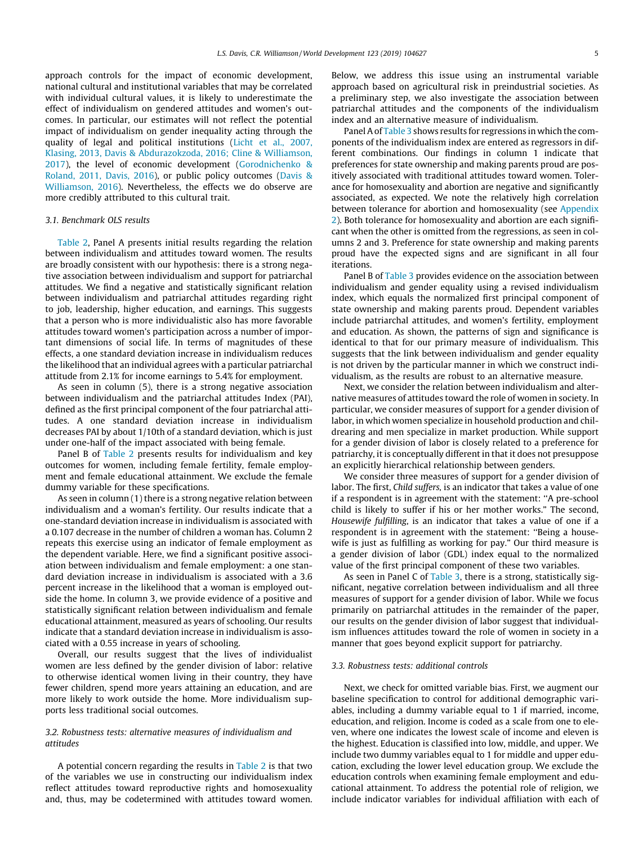approach controls for the impact of economic development, national cultural and institutional variables that may be correlated with individual cultural values, it is likely to underestimate the effect of individualism on gendered attitudes and women's outcomes. In particular, our estimates will not reflect the potential impact of individualism on gender inequality acting through the quality of legal and political institutions [\(Licht et al., 2007,](#page-15-0) [Klasing, 2013, Davis & Abdurazokzoda, 2016; Cline & Williamson,](#page-15-0) [2017\)](#page-15-0), the level of economic development ([Gorodnichenko &](#page-14-0) [Roland, 2011, Davis, 2016\)](#page-14-0), or public policy outcomes [\(Davis &](#page-14-0) [Williamson, 2016\)](#page-14-0). Nevertheless, the effects we do observe are more credibly attributed to this cultural trait.

#### 3.1. Benchmark OLS results

[Table 2,](#page-5-0) Panel A presents initial results regarding the relation between individualism and attitudes toward women. The results are broadly consistent with our hypothesis: there is a strong negative association between individualism and support for patriarchal attitudes. We find a negative and statistically significant relation between individualism and patriarchal attitudes regarding right to job, leadership, higher education, and earnings. This suggests that a person who is more individualistic also has more favorable attitudes toward women's participation across a number of important dimensions of social life. In terms of magnitudes of these effects, a one standard deviation increase in individualism reduces the likelihood that an individual agrees with a particular patriarchal attitude from 2.1% for income earnings to 5.4% for employment.

As seen in column (5), there is a strong negative association between individualism and the patriarchal attitudes Index (PAI), defined as the first principal component of the four patriarchal attitudes. A one standard deviation increase in individualism decreases PAI by about 1/10th of a standard deviation, which is just under one-half of the impact associated with being female.

Panel B of [Table 2](#page-5-0) presents results for individualism and key outcomes for women, including female fertility, female employment and female educational attainment. We exclude the female dummy variable for these specifications.

As seen in column (1) there is a strong negative relation between individualism and a woman's fertility. Our results indicate that a one-standard deviation increase in individualism is associated with a 0.107 decrease in the number of children a woman has. Column 2 repeats this exercise using an indicator of female employment as the dependent variable. Here, we find a significant positive association between individualism and female employment: a one standard deviation increase in individualism is associated with a 3.6 percent increase in the likelihood that a woman is employed outside the home. In column 3, we provide evidence of a positive and statistically significant relation between individualism and female educational attainment, measured as years of schooling. Our results indicate that a standard deviation increase in individualism is associated with a 0.55 increase in years of schooling.

Overall, our results suggest that the lives of individualist women are less defined by the gender division of labor: relative to otherwise identical women living in their country, they have fewer children, spend more years attaining an education, and are more likely to work outside the home. More individualism supports less traditional social outcomes.

### 3.2. Robustness tests: alternative measures of individualism and attitudes

A potential concern regarding the results in [Table 2](#page-5-0) is that two of the variables we use in constructing our individualism index reflect attitudes toward reproductive rights and homosexuality and, thus, may be codetermined with attitudes toward women. Below, we address this issue using an instrumental variable approach based on agricultural risk in preindustrial societies. As a preliminary step, we also investigate the association between patriarchal attitudes and the components of the individualism index and an alternative measure of individualism.

Panel A of [Table 3](#page-5-0) shows results for regressions in which the components of the individualism index are entered as regressors in different combinations. Our findings in column 1 indicate that preferences for state ownership and making parents proud are positively associated with traditional attitudes toward women. Tolerance for homosexuality and abortion are negative and significantly associated, as expected. We note the relatively high correlation between tolerance for abortion and homosexuality (see [Appendix](#page-2-0) [2](#page-2-0)). Both tolerance for homosexuality and abortion are each significant when the other is omitted from the regressions, as seen in columns 2 and 3. Preference for state ownership and making parents proud have the expected signs and are significant in all four iterations.

Panel B of [Table 3](#page-5-0) provides evidence on the association between individualism and gender equality using a revised individualism index, which equals the normalized first principal component of state ownership and making parents proud. Dependent variables include patriarchal attitudes, and women's fertility, employment and education. As shown, the patterns of sign and significance is identical to that for our primary measure of individualism. This suggests that the link between individualism and gender equality is not driven by the particular manner in which we construct individualism, as the results are robust to an alternative measure.

Next, we consider the relation between individualism and alternative measures of attitudes toward the role of women in society. In particular, we consider measures of support for a gender division of labor, in which women specialize in household production and childrearing and men specialize in market production. While support for a gender division of labor is closely related to a preference for patriarchy, it is conceptually different in that it does not presuppose an explicitly hierarchical relationship between genders.

We consider three measures of support for a gender division of labor. The first, Child suffers, is an indicator that takes a value of one if a respondent is in agreement with the statement: ''A pre-school child is likely to suffer if his or her mother works." The second, Housewife fulfilling, is an indicator that takes a value of one if a respondent is in agreement with the statement: ''Being a housewife is just as fulfilling as working for pay." Our third measure is a gender division of labor (GDL) index equal to the normalized value of the first principal component of these two variables.

As seen in Panel C of [Table 3](#page-5-0), there is a strong, statistically significant, negative correlation between individualism and all three measures of support for a gender division of labor. While we focus primarily on patriarchal attitudes in the remainder of the paper, our results on the gender division of labor suggest that individualism influences attitudes toward the role of women in society in a manner that goes beyond explicit support for patriarchy.

#### 3.3. Robustness tests: additional controls

Next, we check for omitted variable bias. First, we augment our baseline specification to control for additional demographic variables, including a dummy variable equal to 1 if married, income, education, and religion. Income is coded as a scale from one to eleven, where one indicates the lowest scale of income and eleven is the highest. Education is classified into low, middle, and upper. We include two dummy variables equal to 1 for middle and upper education, excluding the lower level education group. We exclude the education controls when examining female employment and educational attainment. To address the potential role of religion, we include indicator variables for individual affiliation with each of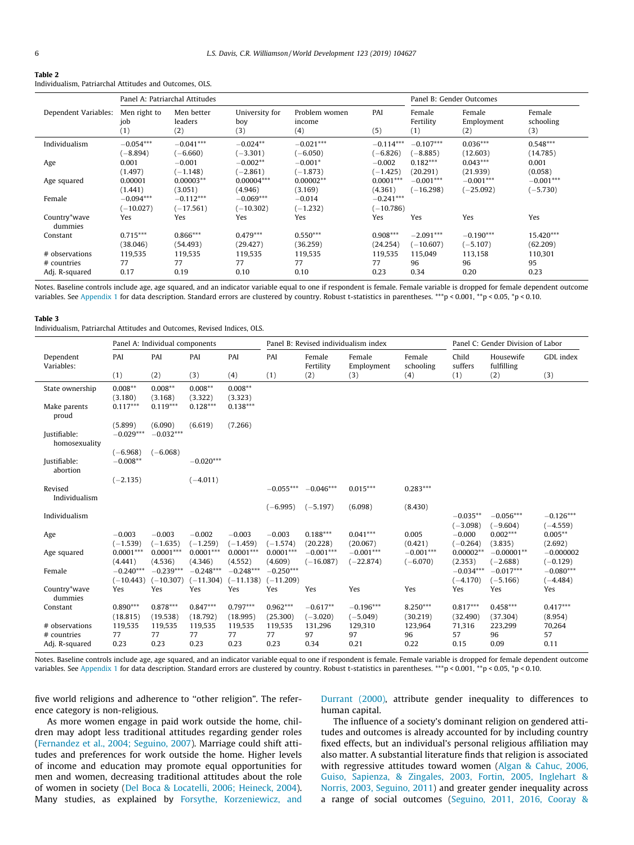<span id="page-5-0"></span>

| Table 2                                                 |  |
|---------------------------------------------------------|--|
| Individualism. Patriarchal Attitudes and Outcomes. OLS. |  |

|                         |                            | Panel A: Patriarchal Attitudes |                              |                                |                            |                            | Panel B: Gender Outcomes    |                            |
|-------------------------|----------------------------|--------------------------------|------------------------------|--------------------------------|----------------------------|----------------------------|-----------------------------|----------------------------|
| Dependent Variables:    | Men right to<br>job<br>(1) | Men better<br>leaders<br>(2)   | University for<br>boy<br>(3) | Problem women<br>income<br>(4) | PAI<br>(5)                 | Female<br>Fertility<br>(1) | Female<br>Employment<br>(2) | Female<br>schooling<br>(3) |
| Individualism           | $-0.054***$                | $-0.041***$                    | $-0.024**$                   | $-0.021***$                    | $-0.114***$                | $-0.107***$                | $0.036***$                  | $0.548***$                 |
|                         | $-8.894$                   | $(-6.660)$                     | $(-3.301)$                   | $(-6.050)$                     | $(-6.826)$                 | $(-8.885)$                 | (12.603)                    | (14.785)                   |
| Age                     | 0.001                      | $-0.001$                       | $-0.002**$                   | $-0.001*$                      | $-0.002$                   | $0.182***$                 | $0.043***$                  | 0.001                      |
|                         | (1.497)                    | $(-1.148)$                     | $(-2.861)$                   | $(-1.873)$                     | $(-1.425)$                 | (20.291)                   | (21.939)                    | (0.058)                    |
| Age squared             | 0.00001                    | $0.00003**$                    | $0.00004***$                 | $0.00002**$                    | $0.0001***$                | $-0.001***$                | $-0.001***$                 | $-0.001***$                |
|                         | (1.441)                    | (3.051)                        | (4.946)                      | (3.169)                        | (4.361)                    | $(-16.298)$                | $(-25.092)$                 | $(-5.730)$                 |
| Female                  | $-0.094***$<br>$(-10.027)$ | $-0.112***$<br>$(-17.561)$     | $-0.069***$<br>$(-10.302)$   | $-0.014$<br>$(-1.232)$         | $-0.241***$<br>$(-10.786)$ |                            |                             |                            |
| Country*wave<br>dummies | Yes                        | Yes                            | Yes                          | Yes                            | Yes                        | Yes                        | Yes                         | Yes                        |
| Constant                | $0.715***$                 | $0.866***$                     | $0.479***$                   | $0.550***$                     | $0.908***$                 | $-2.091***$                | $-0.190***$                 | 15.420***                  |
|                         | (38.046)                   | (54.493)                       | (29.427)                     | (36.259)                       | (24.254)                   | $(-10.607)$                | $(-5.107)$                  | (62.209)                   |
| # observations          | 119,535                    | 119,535                        | 119,535                      | 119,535                        | 119,535                    | 115,049                    | 113,158                     | 110,301                    |
| # countries             | 77                         | 77                             | 77                           | 77                             | 77                         | 96                         | 96                          | 95                         |
| Adj. R-squared          | 0.17                       | 0.19                           | 0.10                         | 0.10                           | 0.23                       | 0.34                       | 0.20                        | 0.23                       |

Notes. Baseline controls include age, age squared, and an indicator variable equal to one if respondent is female. Female variable is dropped for female dependent outcome variables. See [Appendix 1](#page-2-0) for data description. Standard errors are clustered by country. Robust t-statistics in parentheses. \*\*\*p < 0.001, \*\*p < 0.05, \*p < 0.10.

#### Table 3

Individualism, Patriarchal Attitudes and Outcomes, Revised Indices, OLS.

|                               |                        | Panel A: Individual components |                        |                        |                        | Panel B: Revised individualism index |                            |                           |                        | Panel C: Gender Division of Labor |                           |
|-------------------------------|------------------------|--------------------------------|------------------------|------------------------|------------------------|--------------------------------------|----------------------------|---------------------------|------------------------|-----------------------------------|---------------------------|
| Dependent<br>Variables:       | PAI                    | PAI                            | PAI                    | PAI                    | PAI                    | Female<br>Fertility                  | Female<br>Employment       | Female<br>schooling       | Child<br>suffers       | Housewife<br>fulfilling           | GDL index                 |
|                               | (1)                    | (2)                            | (3)                    | (4)                    | (1)                    | (2)                                  | (3)                        | (4)                       | (1)                    | (2)                               | (3)                       |
| State ownership               | $0.008**$              | $0.008**$                      | $0.008**$              | $0.008**$              |                        |                                      |                            |                           |                        |                                   |                           |
|                               | (3.180)                | (3.168)                        | (3.322)                | (3.323)                |                        |                                      |                            |                           |                        |                                   |                           |
| Make parents<br>proud         | $0.117***$             | $0.119***$                     | $0.128***$             | $0.138***$             |                        |                                      |                            |                           |                        |                                   |                           |
|                               | (5.899)                | (6.090)                        | (6.619)                | (7.266)                |                        |                                      |                            |                           |                        |                                   |                           |
| Justifiable:<br>homosexuality | $-0.029***$            | $-0.032***$                    |                        |                        |                        |                                      |                            |                           |                        |                                   |                           |
|                               | $(-6.968)$             | $(-6.068)$                     |                        |                        |                        |                                      |                            |                           |                        |                                   |                           |
| Justifiable:<br>abortion      | $-0.008**$             |                                | $-0.020***$            |                        |                        |                                      |                            |                           |                        |                                   |                           |
|                               | $(-2.135)$             |                                | $(-4.011)$             |                        |                        |                                      |                            |                           |                        |                                   |                           |
| Revised                       |                        |                                |                        |                        | $-0.055***$            | $-0.046***$                          | $0.015***$                 | $0.283***$                |                        |                                   |                           |
| Individualism                 |                        |                                |                        |                        | $(-6.995)$             | $(-5.197)$                           | (6.098)                    | (8.430)                   |                        |                                   |                           |
| Individualism                 |                        |                                |                        |                        |                        |                                      |                            |                           | $-0.035**$             | $-0.056***$                       | $-0.126***$               |
|                               |                        |                                |                        |                        |                        |                                      |                            |                           | $(-3.098)$             | $(-9.604)$                        | $(-4.559)$                |
| Age                           | $-0.003$               | $-0.003$                       | $-0.002$               | $-0.003$               | $-0.003$               | $0.188***$                           | $0.041***$                 | 0.005                     | $-0.000$               | $0.002***$                        | $0.005**$                 |
|                               | $(-1.539)$             | $(-1.635)$                     | $(-1.259)$             | $(-1.459)$             | $(-1.574)$             | (20.228)                             | (20.067)                   | (0.421)                   | $(-0.264)$             | (3.835)                           | (2.692)                   |
| Age squared                   | $0.0001***$<br>(4.441) | $0.0001***$<br>(4.536)         | $0.0001***$<br>(4.346) | $0.0001***$<br>(4.552) | $0.0001***$<br>(4.609) | $-0.001***$<br>$(-16.087)$           | $-0.001***$<br>$(-22.874)$ | $-0.001***$<br>$(-6.070)$ | $0.00002**$<br>(2.353) | $-0.00001**$<br>$(-2.688)$        | $-0.000002$<br>$(-0.129)$ |
| Female                        | $-0.240***$            | $-0.239***$                    | $-0.248***$            | $-0.248***$            | $-0.250***$            |                                      |                            |                           | $-0.034***$            | $-0.017***$                       | $-0.080***$               |
|                               | $(-10.443)$            | $(-10.307)$                    | $(-11.304)$            | $(-11.138)$            | $(-11.209)$            |                                      |                            |                           | $(-4.170)$             | $(-5.166)$                        | $(-4.484)$                |
| Country*wave<br>dummies       | Yes                    | Yes                            | Yes                    | Yes                    | Yes                    | Yes                                  | Yes                        | Yes                       | Yes                    | Yes                               | Yes                       |
| Constant                      | $0.890***$             | $0.878***$                     | $0.847***$             | $0.797***$             | $0.962***$             | $-0.617**$                           | $-0.196***$                | $8.250***$                | $0.817***$             | $0.458***$                        | $0.417***$                |
|                               | (18.815)               | (19.538)                       | (18.792)               | (18.995)               | (25.300)               | $(-3.020)$                           | $(-5.049)$                 | (30.219)                  | (32.490)               | (37, 304)                         | (8.954)                   |
| # observations                | 119,535                | 119,535                        | 119,535                | 119,535                | 119,535                | 131,296                              | 129,310                    | 123,964                   | 71.316                 | 223,299                           | 70,264                    |
| # countries                   | 77<br>0.23             | 77<br>0.23                     | 77<br>0.23             | 77<br>0.23             | 77                     | 97                                   | 97                         | 96<br>0.22                | 57                     | 96<br>0.09                        | 57                        |
| Adj. R-squared                |                        |                                |                        |                        | 0.23                   | 0.34                                 | 0.21                       |                           | 0.15                   |                                   | 0.11                      |

Notes. Baseline controls include age, age squared, and an indicator variable equal to one if respondent is female. Female variable is dropped for female dependent outcome variables. See [Appendix 1](#page-2-0) for data description. Standard errors are clustered by country. Robust t-statistics in parentheses. \*\*\*p < 0.001, \*\*p < 0.05, \*p < 0.10.

five world religions and adherence to ''other religion". The reference category is non-religious.

As more women engage in paid work outside the home, children may adopt less traditional attitudes regarding gender roles ([Fernandez et al., 2004; Seguino, 2007\)](#page-14-0). Marriage could shift attitudes and preferences for work outside the home. Higher levels of income and education may promote equal opportunities for men and women, decreasing traditional attitudes about the role of women in society ([Del Boca & Locatelli, 2006; Heineck, 2004\)](#page-14-0). Many studies, as explained by [Forsythe, Korzeniewicz, and](#page-14-0) [Durrant \(2000\)](#page-14-0), attribute gender inequality to differences to human capital.

The influence of a society's dominant religion on gendered attitudes and outcomes is already accounted for by including country fixed effects, but an individual's personal religious affiliation may also matter. A substantial literature finds that religion is associated with regressive attitudes toward women [\(Algan & Cahuc, 2006,](#page-14-0) [Guiso, Sapienza, & Zingales, 2003, Fortin, 2005, Inglehart &](#page-14-0) [Norris, 2003, Seguino, 2011\)](#page-14-0) and greater gender inequality across a range of social outcomes [\(Seguino, 2011, 2016, Cooray &](#page-15-0)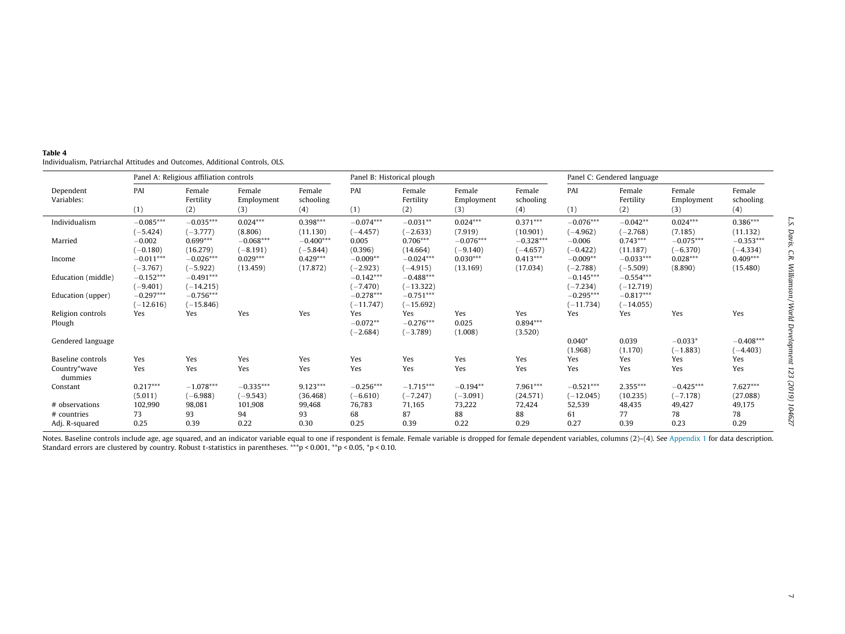|                             |                            | Panel A: Religious affiliation controls |                             |                            |                                 | Panel B: Historical plough       |                             |                              |                            | Panel C: Gendered language |                             |                            |
|-----------------------------|----------------------------|-----------------------------------------|-----------------------------|----------------------------|---------------------------------|----------------------------------|-----------------------------|------------------------------|----------------------------|----------------------------|-----------------------------|----------------------------|
| Dependent<br>Variables:     | PAI<br>(1)                 | Female<br>Fertility<br>(2)              | Female<br>Employment<br>(3) | Female<br>schooling<br>(4) | PAI<br>(1)                      | Female<br>Fertility<br>(2)       | Female<br>Employment<br>(3) | Female<br>schooling<br>(4)   | PAI<br>(1)                 | Female<br>Fertility<br>(2) | Female<br>Employment<br>(3) | Female<br>schooling<br>(4) |
| Individualism               | $-0.085***$<br>$(-5.424)$  | $-0.035***$<br>$(-3.777)$               | $0.024***$<br>(8.806)       | $0.398***$<br>(11.130)     | $-0.074***$<br>$(-4.457)$       | $-0.031**$<br>$(-2.633)$         | $0.024***$<br>(7.919)       | $0.371***$<br>(10.901)       | $-0.076***$<br>$(-4.962)$  | $-0.042**$<br>$(-2.768)$   | $0.024***$<br>(7.185)       | $0.386***$<br>(11.132)     |
| Married                     | $-0.002$<br>$-0.180)$      | $0.699***$<br>(16.279)                  | $-0.068***$<br>$(-8.191)$   | $-0.400***$<br>$(-5.844)$  | 0.005<br>(0.396)                | $0.706***$<br>(14.664)           | $-0.076***$<br>$(-9.140)$   | $-0.328***$<br>$(-4.657)$    | $-0.006$<br>$(-0.422)$     | $0.743***$<br>(11.187)     | $-0.075***$<br>$(-6.370)$   | $-0.353***$<br>$(-4.334)$  |
| Income                      | $-0.011***$<br>$(-3.767)$  | $-0.026***$<br>$(-5.922)$               | $0.029***$<br>(13.459)      | $0.429***$<br>(17.872)     | $-0.009**$<br>$(-2.923)$        | $-0.024***$<br>$(-4.915)$        | $0.030***$<br>(13.169)      | $0.413***$<br>(17.034)       | $-0.009**$<br>$(-2.788)$   | $-0.033***$<br>$(-5.509)$  | $0.028***$<br>(8.890)       | $0.409***$<br>(15.480)     |
| Education (middle)          | $-0.152***$<br>$(-9.401)$  | $-0.491***$<br>$(-14.215)$              |                             |                            | $-0.142***$<br>$(-7.470)$       | $-0.488***$<br>$(-13.322)$       |                             |                              | $-0.145***$<br>$(-7.234)$  | $-0.554***$<br>$(-12.719)$ |                             |                            |
| Education (upper)           | $-0.297***$<br>$(-12.616)$ | $-0.756***$<br>$(-15.846)$              |                             |                            | $-0.278***$<br>$(-11.747)$      | $-0.751***$<br>$(-15.692)$       |                             |                              | $-0.295***$<br>$(-11.734)$ | $-0.817***$<br>$(-14.055)$ |                             |                            |
| Religion controls<br>Plough | Yes                        | Yes                                     | Yes                         | Yes                        | Yes<br>$-0.072**$<br>$(-2.684)$ | Yes<br>$-0.276***$<br>$(-3.789)$ | Yes<br>0.025<br>(1.008)     | Yes<br>$0.894***$<br>(3.520) | Yes                        | Yes                        | Yes                         | Yes                        |
| Gendered language           |                            |                                         |                             |                            |                                 |                                  |                             |                              | $0.040*$<br>(1.968)        | 0.039<br>(1.170)           | $-0.033*$<br>$(-1.883)$     | $-0.408***$<br>$(-4.403)$  |
| Baseline controls           | Yes                        | Yes                                     | Yes                         | Yes                        | Yes                             | Yes                              | Yes                         | Yes                          | Yes                        | Yes                        | Yes                         | Yes                        |
| Country*wave<br>dummies     | Yes                        | Yes                                     | Yes                         | Yes                        | Yes                             | Yes                              | Yes                         | Yes                          | Yes                        | Yes                        | Yes                         | Yes                        |
| Constant                    | $0.217***$<br>(5.011)      | $-1.078***$<br>$(-6.988)$               | $-0.335***$<br>$(-9.543)$   | $9.123***$<br>(36.468)     | $-0.256***$<br>$(-6.610)$       | $-1.715***$<br>$(-7.247)$        | $-0.194**$<br>$(-3.091)$    | $7.961***$<br>(24.571)       | $-0.521***$<br>$(-12.045)$ | $2.355***$<br>(10.235)     | $-0.425***$<br>$(-7.178)$   | $7.627***$<br>(27.088)     |
| # observations              | 102,990                    | 98,081                                  | 101,908                     | 99,468                     | 76,783                          | 71,165                           | 73,222                      | 72,424                       | 52,539                     | 48,435                     | 49,427                      | 49,175                     |
| # countries                 | 73                         | 93                                      | 94                          | 93                         | 68                              | 87                               | 88                          | 88                           | 61                         | 77                         | 78                          | 78                         |
| Adj. R-squared              | 0.25                       | 0.39                                    | 0.22                        | 0.30                       | 0.25                            | 0.39                             | 0.22                        | 0.29                         | 0.27                       | 0.39                       | 0.23                        | 0.29                       |

<span id="page-6-0"></span> Individualism, Patriarchal Attitudes and Outcomes, Additional Controls, OLS.  $\sim$ 

Notes. Baseline controls include age, age squared, and an indicator variable equal to one if respondent is female. Female variable is dropped for female dependent variables, columns (2)-(4). See [Appendix](#page-2-0) 1 for data descrip Standard errors are clustered by country. Robust t-statistics in parentheses. \*\*\*p < 0.001, \*\*p < 0.05, \*p < 0.10.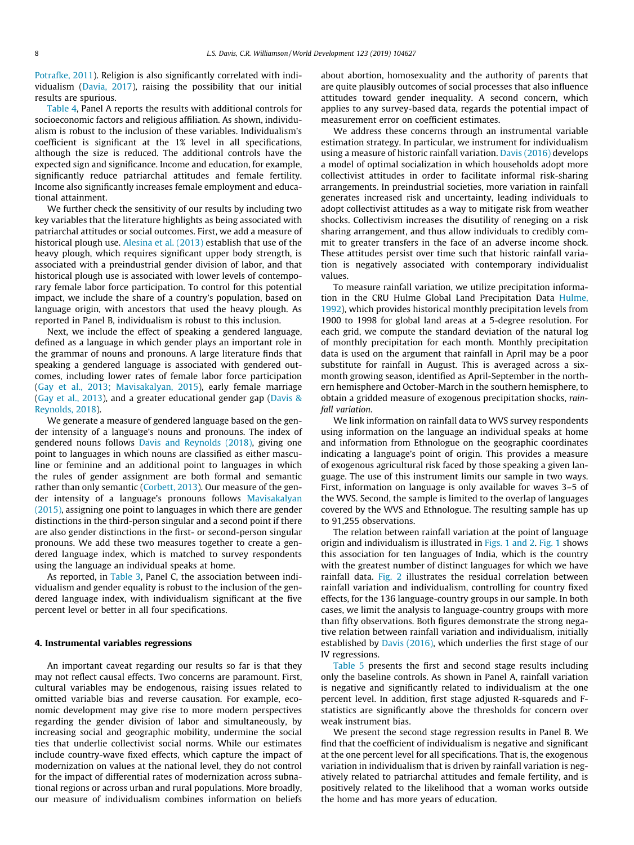[Potrafke, 2011\)](#page-15-0). Religion is also significantly correlated with individualism [\(Davia, 2017](#page-14-0)), raising the possibility that our initial results are spurious.

[Table 4](#page-6-0), Panel A reports the results with additional controls for socioeconomic factors and religious affiliation. As shown, individualism is robust to the inclusion of these variables. Individualism's coefficient is significant at the 1% level in all specifications, although the size is reduced. The additional controls have the expected sign and significance. Income and education, for example, significantly reduce patriarchal attitudes and female fertility. Income also significantly increases female employment and educational attainment.

We further check the sensitivity of our results by including two key variables that the literature highlights as being associated with patriarchal attitudes or social outcomes. First, we add a measure of historical plough use. [Alesina et al. \(2013\)](#page-14-0) establish that use of the heavy plough, which requires significant upper body strength, is associated with a preindustrial gender division of labor, and that historical plough use is associated with lower levels of contemporary female labor force participation. To control for this potential impact, we include the share of a country's population, based on language origin, with ancestors that used the heavy plough. As reported in Panel B, individualism is robust to this inclusion.

Next, we include the effect of speaking a gendered language, defined as a language in which gender plays an important role in the grammar of nouns and pronouns. A large literature finds that speaking a gendered language is associated with gendered outcomes, including lower rates of female labor force participation ([Gay et al., 2013; Mavisakalyan, 2015](#page-14-0)), early female marriage ([Gay et al., 2013](#page-14-0)), and a greater educational gender gap [\(Davis &](#page-14-0) [Reynolds, 2018](#page-14-0)).

We generate a measure of gendered language based on the gender intensity of a language's nouns and pronouns. The index of gendered nouns follows [Davis and Reynolds \(2018\),](#page-14-0) giving one point to languages in which nouns are classified as either masculine or feminine and an additional point to languages in which the rules of gender assignment are both formal and semantic rather than only semantic ([Corbett, 2013\)](#page-14-0). Our measure of the gender intensity of a language's pronouns follows [Mavisakalyan](#page-15-0) [\(2015\),](#page-15-0) assigning one point to languages in which there are gender distinctions in the third-person singular and a second point if there are also gender distinctions in the first- or second-person singular pronouns. We add these two measures together to create a gendered language index, which is matched to survey respondents using the language an individual speaks at home.

As reported, in [Table 3](#page-5-0), Panel C, the association between individualism and gender equality is robust to the inclusion of the gendered language index, with individualism significant at the five percent level or better in all four specifications.

#### 4. Instrumental variables regressions

An important caveat regarding our results so far is that they may not reflect causal effects. Two concerns are paramount. First, cultural variables may be endogenous, raising issues related to omitted variable bias and reverse causation. For example, economic development may give rise to more modern perspectives regarding the gender division of labor and simultaneously, by increasing social and geographic mobility, undermine the social ties that underlie collectivist social norms. While our estimates include country-wave fixed effects, which capture the impact of modernization on values at the national level, they do not control for the impact of differential rates of modernization across subnational regions or across urban and rural populations. More broadly, our measure of individualism combines information on beliefs about abortion, homosexuality and the authority of parents that are quite plausibly outcomes of social processes that also influence attitudes toward gender inequality. A second concern, which applies to any survey-based data, regards the potential impact of measurement error on coefficient estimates.

We address these concerns through an instrumental variable estimation strategy. In particular, we instrument for individualism using a measure of historic rainfall variation. [Davis \(2016\)](#page-14-0) develops a model of optimal socialization in which households adopt more collectivist attitudes in order to facilitate informal risk-sharing arrangements. In preindustrial societies, more variation in rainfall generates increased risk and uncertainty, leading individuals to adopt collectivist attitudes as a way to mitigate risk from weather shocks. Collectivism increases the disutility of reneging on a risk sharing arrangement, and thus allow individuals to credibly commit to greater transfers in the face of an adverse income shock. These attitudes persist over time such that historic rainfall variation is negatively associated with contemporary individualist values.

To measure rainfall variation, we utilize precipitation information in the CRU Hulme Global Land Precipitation Data [Hulme,](#page-15-0) [1992\)](#page-15-0), which provides historical monthly precipitation levels from 1900 to 1998 for global land areas at a 5-degree resolution. For each grid, we compute the standard deviation of the natural log of monthly precipitation for each month. Monthly precipitation data is used on the argument that rainfall in April may be a poor substitute for rainfall in August. This is averaged across a sixmonth growing season, identified as April-September in the northern hemisphere and October-March in the southern hemisphere, to obtain a gridded measure of exogenous precipitation shocks, rainfall variation.

We link information on rainfall data to WVS survey respondents using information on the language an individual speaks at home and information from Ethnologue on the geographic coordinates indicating a language's point of origin. This provides a measure of exogenous agricultural risk faced by those speaking a given language. The use of this instrument limits our sample in two ways. First, information on language is only available for waves 3–5 of the WVS. Second, the sample is limited to the overlap of languages covered by the WVS and Ethnologue. The resulting sample has up to 91,255 observations.

The relation between rainfall variation at the point of language origin and individualism is illustrated in [Figs. 1 and 2](#page-8-0). [Fig. 1](#page-8-0) shows this association for ten languages of India, which is the country with the greatest number of distinct languages for which we have rainfall data. [Fig. 2](#page-8-0) illustrates the residual correlation between rainfall variation and individualism, controlling for country fixed effects, for the 136 language-country groups in our sample. In both cases, we limit the analysis to language-country groups with more than fifty observations. Both figures demonstrate the strong negative relation between rainfall variation and individualism, initially established by [Davis \(2016\)](#page-14-0), which underlies the first stage of our IV regressions.

[Table 5](#page-9-0) presents the first and second stage results including only the baseline controls. As shown in Panel A, rainfall variation is negative and significantly related to individualism at the one percent level. In addition, first stage adjusted R-squareds and Fstatistics are significantly above the thresholds for concern over weak instrument bias.

We present the second stage regression results in Panel B. We find that the coefficient of individualism is negative and significant at the one percent level for all specifications. That is, the exogenous variation in individualism that is driven by rainfall variation is negatively related to patriarchal attitudes and female fertility, and is positively related to the likelihood that a woman works outside the home and has more years of education.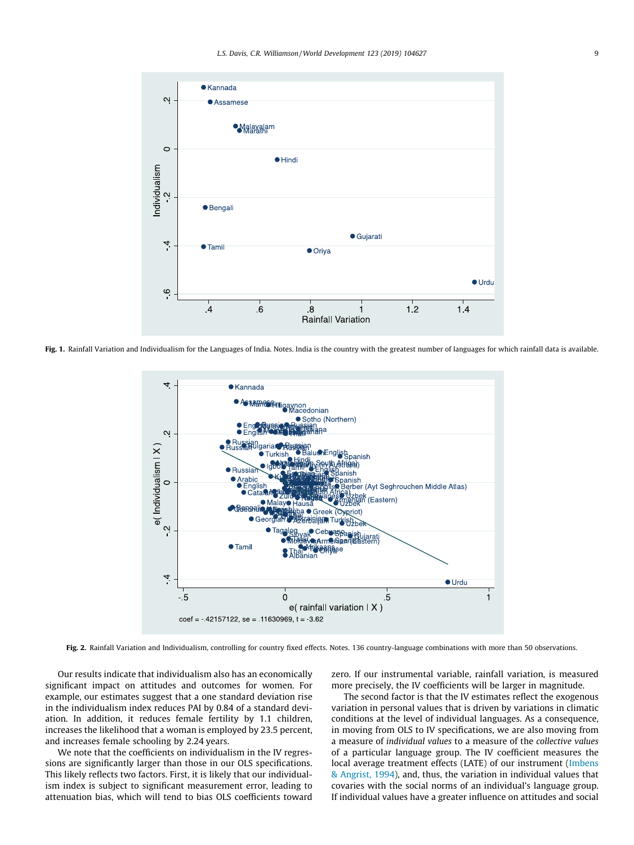<span id="page-8-0"></span>

Fig. 1. Rainfall Variation and Individualism for the Languages of India. Notes. India is the country with the greatest number of languages for which rainfall data is available.



Fig. 2. Rainfall Variation and Individualism, controlling for country fixed effects. Notes. 136 country-language combinations with more than 50 observations.

Our results indicate that individualism also has an economically significant impact on attitudes and outcomes for women. For example, our estimates suggest that a one standard deviation rise in the individualism index reduces PAI by 0.84 of a standard deviation. In addition, it reduces female fertility by 1.1 children, increases the likelihood that a woman is employed by 23.5 percent, and increases female schooling by 2.24 years.

We note that the coefficients on individualism in the IV regressions are significantly larger than those in our OLS specifications. This likely reflects two factors. First, it is likely that our individualism index is subject to significant measurement error, leading to attenuation bias, which will tend to bias OLS coefficients toward zero. If our instrumental variable, rainfall variation, is measured more precisely, the IV coefficients will be larger in magnitude.

The second factor is that the IV estimates reflect the exogenous variation in personal values that is driven by variations in climatic conditions at the level of individual languages. As a consequence, in moving from OLS to IV specifications, we are also moving from a measure of individual values to a measure of the collective values of a particular language group. The IV coefficient measures the local average treatment effects (LATE) of our instrument ([Imbens](#page-15-0) [& Angrist, 1994\)](#page-15-0), and, thus, the variation in individual values that covaries with the social norms of an individual's language group. If individual values have a greater influence on attitudes and social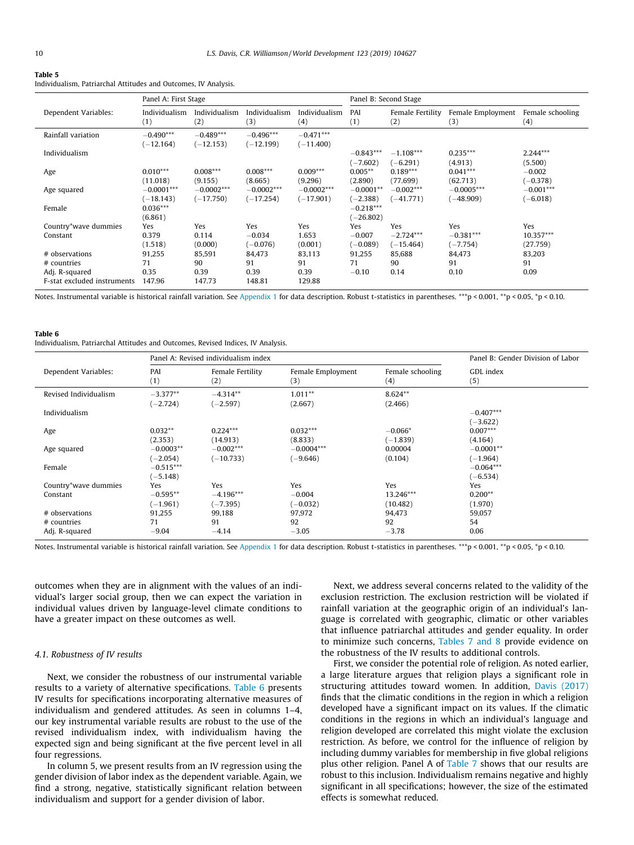<span id="page-9-0"></span>Individualism, Patriarchal Attitudes and Outcomes, IV Analysis.

|                             | Panel A: First Stage        |                              |                             |                             |                            | Panel B: Second Stage      |                             |                           |
|-----------------------------|-----------------------------|------------------------------|-----------------------------|-----------------------------|----------------------------|----------------------------|-----------------------------|---------------------------|
| Dependent Variables:        | Individualism<br>(1)        | Individualism<br>(2)         | Individualism<br>(3)        | Individualism<br>(4)        | PAI<br>(1)                 | Female Fertility<br>(2)    | Female Employment<br>(3)    | Female schooling<br>(4)   |
| Rainfall variation          | $-0.490***$<br>$(-12.164)$  | $-0.489***$<br>$(-12.153)$   | $-0.496***$<br>$(-12.199)$  | $-0.471***$<br>$(-11.400)$  |                            |                            |                             |                           |
| Individualism               |                             |                              |                             |                             | $-0.843***$<br>$(-7.602)$  | $-1.108***$<br>$(-6.291)$  | $0.235***$<br>(4.913)       | $2.244***$<br>(5.500)     |
| Age                         | $0.010***$<br>(11.018)      | $0.008***$<br>(9.155)        | $0.008***$<br>(8.665)       | $0.009***$<br>(9.296)       | $0.005**$<br>(2.890)       | $0.189***$<br>(77.699)     | $0.041***$<br>(62.713)      | $-0.002$<br>$(-0.378)$    |
| Age squared                 | $-0.0001***$<br>$(-18.143)$ | $-0.0002***$<br>$(-17, 750)$ | $-0.0002***$<br>$(-17.254)$ | $-0.0002***$<br>$(-17.901)$ | $-0.0001**$<br>$(-2.388)$  | $-0.002***$<br>$(-41.771)$ | $-0.0005***$<br>$(-48.909)$ | $-0.001***$<br>$(-6.018)$ |
| Female                      | $0.036***$<br>(6.861)       |                              |                             |                             | $-0.218***$<br>$(-26.802)$ |                            |                             |                           |
| Country*wave dummies        | Yes                         | Yes                          | Yes                         | Yes                         | Yes                        | Yes                        | Yes                         | Yes                       |
| Constant                    | 0.379                       | 0.114                        | $-0.034$                    | 1.653                       | $-0.007$                   | $-2.724***$                | $-0.381***$                 | $10.357***$               |
|                             | (1.518)                     | (0.000)                      | $(-0.076)$                  | (0.001)                     | $(-0.089)$                 | $(-15.464)$                | $(-7.754)$                  | (27.759)                  |
| # observations              | 91,255                      | 85,591                       | 84,473                      | 83,113                      | 91,255                     | 85,688                     | 84,473                      | 83,203                    |
| # countries                 | 71                          | 90                           | 91                          | 91                          | 71                         | 90                         | 91                          | 91                        |
| Adj. R-squared              | 0.35                        | 0.39                         | 0.39                        | 0.39                        | $-0.10$                    | 0.14                       | 0.10                        | 0.09                      |
| F-stat excluded instruments | 147.96                      | 147.73                       | 148.81                      | 129.88                      |                            |                            |                             |                           |

Notes. Instrumental variable is historical rainfall variation. See [Appendix 1](#page-2-0) for data description. Robust t-statistics in parentheses. \*\*\*p < 0.001, \*\*p < 0.05, \*p < 0.10.

#### Table 6

Individualism, Patriarchal Attitudes and Outcomes, Revised Indices, IV Analysis.

|                                                 |                                 | Panel A: Revised individualism index |                               |                              | Panel B: Gender Division of Labor |
|-------------------------------------------------|---------------------------------|--------------------------------------|-------------------------------|------------------------------|-----------------------------------|
| Dependent Variables:                            | PAI<br>(1)                      | Female Fertility<br>(2)              | Female Employment<br>(3)      | Female schooling<br>(4)      | GDL index<br>(5)                  |
| Revised Individualism                           | $-3.377**$<br>$(-2.724)$        | $-4.314**$<br>$(-2.597)$             | $1.011**$<br>(2.667)          | $8.624**$<br>(2.466)         |                                   |
| Individualism                                   |                                 |                                      |                               |                              | $-0.407***$<br>$(-3.622)$         |
| Age                                             | $0.032**$<br>(2.353)            | $0.224***$<br>(14.913)               | $0.032***$<br>(8.833)         | $-0.066*$<br>$(-1.839)$      | $0.007***$<br>(4.164)             |
| Age squared                                     | $-0.0003**$<br>$(-2.054)$       | $-0.002***$<br>$(-10.733)$           | $-0.0004***$<br>$(-9.646)$    | 0.00004<br>(0.104)           | $-0.0001**$<br>$(-1.964)$         |
| Female                                          | $-0.515***$<br>$(-5.148)$       |                                      |                               |                              | $-0.064***$<br>$(-6.534)$         |
| Country*wave dummies<br>Constant                | Yes<br>$-0.595**$<br>$(-1.961)$ | Yes<br>$-4.196***$<br>$(-7.395)$     | Yes<br>$-0.004$<br>$(-0.032)$ | Yes<br>13.246***<br>(10.482) | Yes<br>$0.200**$<br>(1.970)       |
| # observations<br># countries<br>Adj. R-squared | 91,255<br>71<br>$-9.04$         | 99,188<br>91<br>$-4.14$              | 97,972<br>92<br>$-3.05$       | 94,473<br>92<br>$-3.78$      | 59,057<br>54<br>0.06              |

Notes. Instrumental variable is historical rainfall variation. See [Appendix 1](#page-2-0) for data description. Robust t-statistics in parentheses. \*\*\*p < 0.001, \*\*p < 0.05, \*p < 0.10.

outcomes when they are in alignment with the values of an individual's larger social group, then we can expect the variation in individual values driven by language-level climate conditions to have a greater impact on these outcomes as well.

#### 4.1. Robustness of IV results

Next, we consider the robustness of our instrumental variable results to a variety of alternative specifications. Table 6 presents IV results for specifications incorporating alternative measures of individualism and gendered attitudes. As seen in columns 1–4, our key instrumental variable results are robust to the use of the revised individualism index, with individualism having the expected sign and being significant at the five percent level in all four regressions.

In column 5, we present results from an IV regression using the gender division of labor index as the dependent variable. Again, we find a strong, negative, statistically significant relation between individualism and support for a gender division of labor.

Next, we address several concerns related to the validity of the exclusion restriction. The exclusion restriction will be violated if rainfall variation at the geographic origin of an individual's language is correlated with geographic, climatic or other variables that influence patriarchal attitudes and gender equality. In order to minimize such concerns, [Tables 7 and 8](#page-10-0) provide evidence on the robustness of the IV results to additional controls.

First, we consider the potential role of religion. As noted earlier, a large literature argues that religion plays a significant role in structuring attitudes toward women. In addition, [Davis \(2017\)](#page-14-0) finds that the climatic conditions in the region in which a religion developed have a significant impact on its values. If the climatic conditions in the regions in which an individual's language and religion developed are correlated this might violate the exclusion restriction. As before, we control for the influence of religion by including dummy variables for membership in five global religions plus other religion. Panel A of [Table 7](#page-10-0) shows that our results are robust to this inclusion. Individualism remains negative and highly significant in all specifications; however, the size of the estimated effects is somewhat reduced.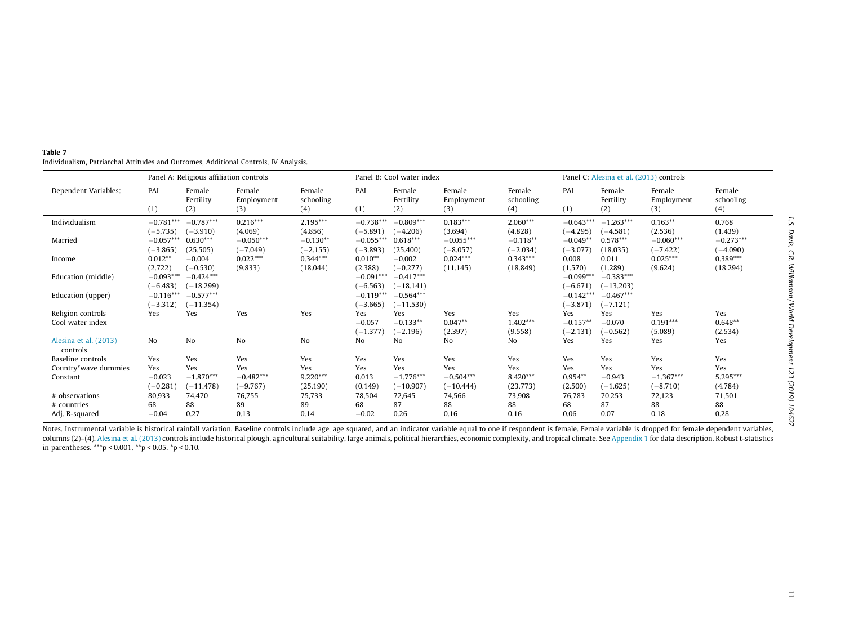|                                       |                               | Panel A: Religious affiliation controls |                                  |                               |                               | Panel B: Cool water index         |                                   |                              |                                 |                               | Panel C: Alesina et al. (2013) controls |                              |
|---------------------------------------|-------------------------------|-----------------------------------------|----------------------------------|-------------------------------|-------------------------------|-----------------------------------|-----------------------------------|------------------------------|---------------------------------|-------------------------------|-----------------------------------------|------------------------------|
| Dependent Variables:                  | PAI<br>(1)                    | Female<br>Fertility<br>(2)              | Female<br>Employment<br>(3)      | Female<br>schooling<br>(4)    | PAI<br>(1)                    | Female<br>Fertility<br>(2)        | Female<br>Employment<br>(3)       | Female<br>schooling<br>(4)   | PAI<br>(1)                      | Female<br>Fertility<br>(2)    | Female<br>Employment<br>(3)             | Female<br>schooling<br>(4)   |
| Individualism                         | $-0.781***$<br>$(-5.735)$     | $-0.787***$<br>$(-3.910)$               | $0.216***$<br>(4.069)            | $2.195***$<br>(4.856)         | $-0.738***$<br>$(-5.891)$     | $-0.809***$<br>$(-4.206)$         | $0.183***$<br>(3.694)             | $2.060***$<br>(4.828)        | $-0.643***$<br>$(-4.295)$       | $-1.263***$<br>$(-4.581)$     | $0.163**$<br>(2.536)                    | 0.768<br>(1.439)             |
| Married                               | $-0.057***$<br>$(-3.865)$     | $0.630***$<br>(25.505)                  | $-0.050***$<br>$(-7.049)$        | $-0.130**$<br>$(-2.155)$      | $-0.055***$<br>$(-3.893)$     | $0.618***$<br>(25.400)            | $-0.055***$<br>$(-8.057)$         | $-0.118**$<br>$(-2.034)$     | $-0.049**$<br>$(-3.077)$        | $0.578***$<br>(18.035)        | $-0.060***$<br>$(-7.422)$               | $-0.273***$<br>$(-4.090)$    |
| Income                                | $0.012**$<br>(2.722)          | $-0.004$<br>$(-0.530)$                  | $0.022***$<br>(9.833)            | $0.344***$<br>(18.044)        | $0.010**$<br>(2.388)          | $-0.002$<br>$(-0.277)$            | $0.024***$<br>(11.145)            | $0.343***$<br>(18.849)       | 0.008<br>(1.570)                | 0.011<br>(1.289)              | $0.025***$<br>(9.624)                   | $0.389***$<br>(18.294)       |
| Education (middle)                    | $-0.093***$<br>$(-6.483)$     | $-0.424***$<br>$(-18.299)$              |                                  |                               | $-0.091***$<br>$(-6.563)$     | $-0.417***$<br>$(-18.141)$        |                                   |                              | $-0.099***$<br>$(-6.671)$       | $-0.383***$<br>$(-13.203)$    |                                         |                              |
| Education (upper)                     | $-0.116***$<br>$(-3.312)$     | $-0.577***$<br>$(-11.354)$              |                                  |                               | $-0.119***$<br>$(-3.665)$     | $-0.564***$<br>$(-11.530)$        |                                   |                              | $-0.142***$<br>$(-3.871)$       | $-0.467***$<br>$(-7.121)$     |                                         |                              |
| Religion controls<br>Cool water index | Yes                           | Yes                                     | Yes                              | Yes                           | Yes<br>$-0.057$<br>$(-1.377)$ | Yes<br>$-0.133**$<br>$(-2.196)$   | Yes<br>$0.047**$<br>(2.397)       | Yes<br>$1.402***$<br>(9.558) | Yes<br>$-0.157**$<br>$(-2.131)$ | Yes<br>$-0.070$<br>$(-0.562)$ | Yes<br>$0.191***$<br>(5.089)            | Yes<br>$0.648**$<br>(2.534)  |
| Alesina et al. (2013)<br>controls     | <b>No</b>                     | No                                      | No                               | No                            | No                            | No                                | No                                | No                           | Yes                             | Yes                           | Yes                                     | Yes                          |
| Baseline controls                     | Yes                           | Yes                                     | Yes                              | Yes                           | Yes                           | Yes                               | Yes                               | Yes                          | Yes                             | Yes                           | Yes                                     | Yes                          |
| Country*wave dummies<br>Constant      | Yes<br>$-0.023$<br>$(-0.281)$ | Yes<br>$-1.870***$<br>$(-11.478)$       | Yes<br>$-0.482***$<br>$(-9.767)$ | Yes<br>$9.220***$<br>(25.190) | Yes<br>0.013<br>(0.149)       | Yes<br>$-1.776***$<br>$(-10.907)$ | Yes<br>$-0.504***$<br>$(-10.444)$ | Yes<br>8.420***<br>(23.773)  | Yes<br>$0.954**$<br>(2.500)     | Yes<br>$-0.943$<br>$(-1.625)$ | Yes<br>$-1.367***$<br>$(-8.710)$        | Yes<br>$5.295***$<br>(4.784) |
| # observations                        | 80,933                        | 74,470                                  | 76,755                           | 75,733                        | 78,504                        | 72,645                            | 74,566                            | 73,908                       | 76,783                          | 70,253                        | 72,123                                  | 71,501                       |
| # countries                           | 68                            | 88                                      | 89                               | 89                            | 68                            | 87                                | 88                                | 88                           | 68                              | 87                            | 88                                      | 88                           |
| Adj. R-squared                        | $-0.04$                       | 0.27                                    | 0.13                             | 0.14                          | $-0.02$                       | 0.26                              | 0.16                              | 0.16                         | 0.06                            | 0.07                          | 0.18                                    | 0.28                         |

<span id="page-10-0"></span>Table 7 Individualism, Patriarchal Attitudes and Outcomes, Additional Controls, IV Analysis.  $\overline{a}$ 

Notes. Instrumental variable is historical rainfall variation. Baseline controls include age, age squared, and an indicator variable equal to one if respondent is female. Female variable is dropped for female dependent var columns (2)-(4). Alesina et al. [\(2013\)](#page-14-0) controls include historical plough, agricultural suitability, large animals, political hierarchies, economic complexity, and tropical climate. See [Appendix](#page-2-0) 1 for data description. Rob in parentheses. \*\*\*p < 0.001, \*\*p < 0.05, \*p < 0.10.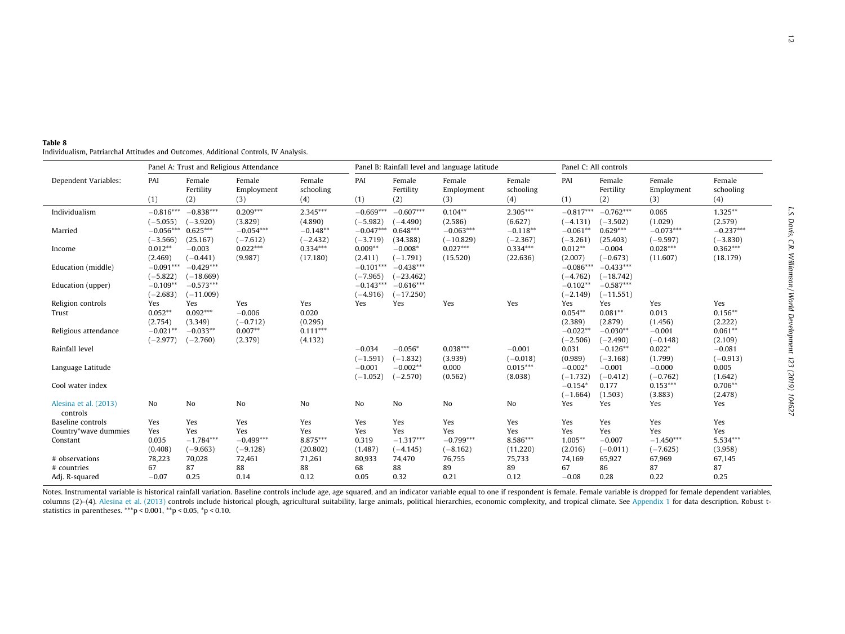<span id="page-11-0"></span>

| Individualism, Patriarchal Attitudes and Outcomes, Additional Controls, IV Analysis. |  |
|--------------------------------------------------------------------------------------|--|
|--------------------------------------------------------------------------------------|--|

|                       |             |                            | Panel A: Trust and Religious Attendance |                            |             |                            | Panel B: Rainfall level and language latitude |                            |                   | Panel C: All controls      |                             |                            |
|-----------------------|-------------|----------------------------|-----------------------------------------|----------------------------|-------------|----------------------------|-----------------------------------------------|----------------------------|-------------------|----------------------------|-----------------------------|----------------------------|
| Dependent Variables:  | PAI<br>(1)  | Female<br>Fertility<br>(2) | Female<br>Employment<br>(3)             | Female<br>schooling<br>(4) | PAI<br>(1)  | Female<br>Fertility<br>(2) | Female<br>Employment<br>(3)                   | Female<br>schooling<br>(4) | PAI<br>(1)        | Female<br>Fertility<br>(2) | Female<br>Employment<br>(3) | Female<br>schooling<br>(4) |
| Individualism         | $-0.816***$ | $-0.838***$                | $0.209***$                              | $2.345***$                 | $-0.669***$ | $-0.607***$                | $0.104**$                                     | $2.305***$                 | $-0.817***$       | $-0.762***$                | 0.065                       | $1.325***$                 |
|                       | $(-5.055)$  | $(-3.920)$                 | (3.829)                                 | (4.890)                    | $(-5.982)$  | $(-4.490)$                 | (2.586)                                       | (6.627)                    | $(-4.131)$        | $(-3.502)$                 | (1.029)                     | (2.579)                    |
| Married               | $-0.056***$ | $0.625***$                 | $-0.054***$                             | $-0.148**$                 | $-0.047***$ | $0.648***$                 | $-0.063***$                                   | $-0.118**$                 | $-0.061**$        | $0.629***$                 | $-0.073***$                 | $-0.237***$                |
|                       | $(-3.566)$  | (25.167)                   | $(-7.612)$                              | $(-2.432)$                 | $(-3.719)$  | (34.388)                   | $(-10.829)$                                   | $(-2.367)$                 | $(-3.261)$        | (25.403)                   | $(-9.597)$                  | $(-3.830)$                 |
| Income                | $0.012**$   | $-0.003$                   | $0.022***$                              | $0.334***$                 | $0.009**$   | $-0.008*$                  | $0.027***$                                    | $0.334***$                 | $0.012**$         | $-0.004$                   | $0.028***$                  | $0.362***$                 |
|                       | (2.469)     | $(-0.441)$                 | (9.987)                                 | (17.180)                   | (2.411)     | $(-1.791)$                 | (15.520)                                      | (22.636)                   | (2.007)           | $(-0.673)$                 | (11.607)                    | (18.179)                   |
| Education (middle)    | $-0.091***$ | $-0.429***$                |                                         |                            | $-0.101***$ | $-0.438***$                |                                               |                            | $-0.086***$       | $-0.433***$                |                             |                            |
|                       | $(-5.822)$  | $(-18.669)$                |                                         |                            | $(-7.965)$  | $(-23.462)$                |                                               |                            | $(-4.762)$        | $(-18.742)$                |                             |                            |
| Education (upper)     | $-0.109**$  | $-0.573***$                |                                         |                            | $-0.143***$ | $-0.616***$                |                                               |                            | $-0.102**$        | $-0.587***$                |                             |                            |
|                       | $(-2.683)$  | $(-11.009)$                |                                         |                            | $(-4.916)$  | $(-17.250)$                |                                               |                            | $(-2.149)$        | $(-11.551)$                |                             |                            |
| Religion controls     | Yes         | Yes                        | Yes                                     | Yes                        | Yes         | Yes                        | Yes                                           | Yes                        | Yes               | Yes                        | Yes                         | Yes                        |
| Trust                 | $0.052**$   | $0.092***$                 | $-0.006$                                | 0.020                      |             |                            |                                               |                            | $0.054**$         | $0.081**$                  | 0.013                       | $0.156**$                  |
|                       | (2.754)     | (3.349)                    | $(-0.712)$                              | (0.295)                    |             |                            |                                               |                            | (2.389)           | (2.879)                    | (1.456)                     | (2.222)                    |
| Religious attendance  | $-0.021**$  | $-0.033**$                 | $0.007**$                               | $0.111***$                 |             |                            |                                               |                            | $-0.022**$        | $-0.030**$                 | $-0.001$                    | $0.061**$                  |
|                       | $(-2.977)$  | $(-2.760)$                 | (2.379)                                 | (4.132)                    |             |                            |                                               |                            | $(-2.506)$        | $(-2.490)$                 | $(-0.148)$                  | (2.109)                    |
| Rainfall level        |             |                            |                                         |                            | $-0.034$    | $-0.056*$                  | $0.038***$                                    | $-0.001$                   | 0.031             | $-0.126**$                 | $0.022*$                    | $-0.081$                   |
|                       |             |                            |                                         |                            | $(-1.591)$  | $(-1.832)$                 | (3.939)                                       | $(-0.018)$                 | (0.989)           | $(-3.168)$                 | (1.799)                     | $(-0.913)$                 |
| Language Latitude     |             |                            |                                         |                            | $-0.001$    | $-0.002**$                 | 0.000                                         | $0.015***$                 | $-0.002*$         | $-0.001$                   | $-0.000$                    | 0.005                      |
|                       |             |                            |                                         |                            | $(-1.052)$  | $(-2.570)$                 | (0.562)                                       | (8.038)                    | $(-1.732)$        | $(-0.412)$                 | $(-0.762)$<br>$0.153***$    | (1.642)<br>$0.706**$       |
| Cool water index      |             |                            |                                         |                            |             |                            |                                               |                            | $-0.154*$         | 0.177                      |                             |                            |
| Alesina et al. (2013) | No.         | N <sub>o</sub>             | No                                      | No                         | No          | No                         | No                                            | No                         | $(-1.664)$<br>Yes | (1.503)<br>Yes             | (3.883)<br>Yes              | (2.478)<br>Yes             |
| controls              |             |                            |                                         |                            |             |                            |                                               |                            |                   |                            |                             |                            |
| Baseline controls     | Yes         | Yes                        | Yes                                     | Yes                        | Yes         | Yes                        | Yes                                           | Yes                        | Yes               | Yes                        | Yes                         | Yes                        |
| Country*wave dummies  | Yes         | Yes                        | Yes                                     | Yes                        | Yes         | Yes                        | Yes                                           | Yes                        | Yes               | Yes                        | Yes                         | Yes                        |
| Constant              | 0.035       | $-1.784***$                | $-0.499***$                             | 8.875***                   | 0.319       | $-1.317***$                | $-0.799***$                                   | 8.586***                   | $1.005***$        | $-0.007$                   | $-1.450***$                 | $5.534***$                 |
|                       | (0.408)     | $(-9.663)$                 | $(-9.128)$                              | (20.802)                   | (1.487)     | $(-4.145)$                 | $(-8.162)$                                    | (11.220)                   | (2.016)           | $(-0.011)$                 | $(-7.625)$                  | (3.958)                    |
| # observations        | 78,223      | 70,028                     | 72,461                                  | 71,261                     | 80,933      | 74,470                     | 76,755                                        | 75,733                     | 74,169            | 65,927                     | 67,969                      | 67,145                     |
| # countries           | 67          | 87                         | 88                                      | 88                         | 68          | 88                         | 89                                            | 89                         | 67                | 86                         | 87                          | 87                         |
| Adj. R-squared        | $-0.07$     | 0.25                       | 0.14                                    | 0.12                       | 0.05        | 0.32                       | 0.21                                          | 0.12                       | $-0.08$           | 0.28                       | 0.22                        | 0.25                       |

Notes. Instrumental variable is historical rainfall variation. Baseline controls include age, age squared, and an indicator variable equal to one if respondent is female. Female variable is dropped for female dependent var columns (2)-(4). Alesina et al. [\(2013\)](#page-14-0) controls include historical plough, agricultural suitability, large animals, political hierarchies, economic complexity, and tropical climate. See [Appendix](#page-2-0) 1 for data description. Rob statistics in parentheses. \*\*\*p < 0.001, \*\*p < 0.05, \*p < 0.10.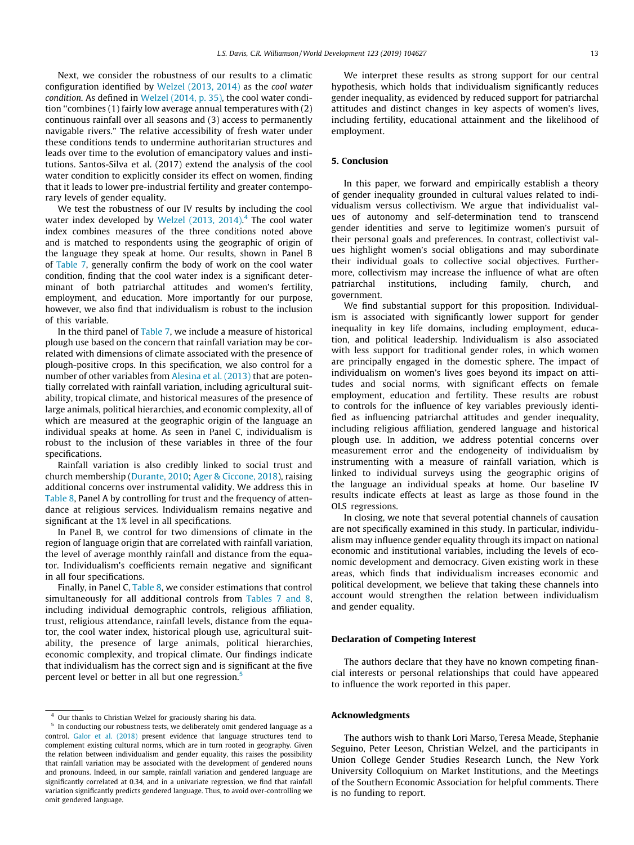Next, we consider the robustness of our results to a climatic configuration identified by [Welzel \(2013, 2014\)](#page-15-0) as the cool water condition. As defined in [Welzel \(2014, p. 35\),](#page-15-0) the cool water condition ''combines (1) fairly low average annual temperatures with (2) continuous rainfall over all seasons and (3) access to permanently navigable rivers." The relative accessibility of fresh water under these conditions tends to undermine authoritarian structures and leads over time to the evolution of emancipatory values and institutions. Santos-Silva et al. (2017) extend the analysis of the cool water condition to explicitly consider its effect on women, finding that it leads to lower pre-industrial fertility and greater contemporary levels of gender equality.

We test the robustness of our IV results by including the cool water index developed by [Welzel \(2013, 2014\)](#page-15-0).<sup>4</sup> The cool water index combines measures of the three conditions noted above and is matched to respondents using the geographic of origin of the language they speak at home. Our results, shown in Panel B of [Table 7,](#page-10-0) generally confirm the body of work on the cool water condition, finding that the cool water index is a significant determinant of both patriarchal attitudes and women's fertility, employment, and education. More importantly for our purpose, however, we also find that individualism is robust to the inclusion of this variable.

In the third panel of [Table 7,](#page-10-0) we include a measure of historical plough use based on the concern that rainfall variation may be correlated with dimensions of climate associated with the presence of plough-positive crops. In this specification, we also control for a number of other variables from [Alesina et al. \(2013\)](#page-14-0) that are potentially correlated with rainfall variation, including agricultural suitability, tropical climate, and historical measures of the presence of large animals, political hierarchies, and economic complexity, all of which are measured at the geographic origin of the language an individual speaks at home. As seen in Panel C, individualism is robust to the inclusion of these variables in three of the four specifications.

Rainfall variation is also credibly linked to social trust and church membership [\(Durante, 2010;](#page-14-0) [Ager & Ciccone, 2018](#page-14-0)), raising additional concerns over instrumental validity. We address this in [Table 8,](#page-11-0) Panel A by controlling for trust and the frequency of attendance at religious services. Individualism remains negative and significant at the 1% level in all specifications.

In Panel B, we control for two dimensions of climate in the region of language origin that are correlated with rainfall variation, the level of average monthly rainfall and distance from the equator. Individualism's coefficients remain negative and significant in all four specifications.

Finally, in Panel C, [Table 8,](#page-11-0) we consider estimations that control simultaneously for all additional controls from [Tables 7 and 8,](#page-10-0) including individual demographic controls, religious affiliation, trust, religious attendance, rainfall levels, distance from the equator, the cool water index, historical plough use, agricultural suitability, the presence of large animals, political hierarchies, economic complexity, and tropical climate. Our findings indicate that individualism has the correct sign and is significant at the five percent level or better in all but one regression.<sup>5</sup>

We interpret these results as strong support for our central hypothesis, which holds that individualism significantly reduces gender inequality, as evidenced by reduced support for patriarchal attitudes and distinct changes in key aspects of women's lives, including fertility, educational attainment and the likelihood of employment.

### 5. Conclusion

In this paper, we forward and empirically establish a theory of gender inequality grounded in cultural values related to individualism versus collectivism. We argue that individualist values of autonomy and self-determination tend to transcend gender identities and serve to legitimize women's pursuit of their personal goals and preferences. In contrast, collectivist values highlight women's social obligations and may subordinate their individual goals to collective social objectives. Furthermore, collectivism may increase the influence of what are often patriarchal institutions, including family, church, and government.

We find substantial support for this proposition. Individualism is associated with significantly lower support for gender inequality in key life domains, including employment, education, and political leadership. Individualism is also associated with less support for traditional gender roles, in which women are principally engaged in the domestic sphere. The impact of individualism on women's lives goes beyond its impact on attitudes and social norms, with significant effects on female employment, education and fertility. These results are robust to controls for the influence of key variables previously identified as influencing patriarchal attitudes and gender inequality, including religious affiliation, gendered language and historical plough use. In addition, we address potential concerns over measurement error and the endogeneity of individualism by instrumenting with a measure of rainfall variation, which is linked to individual surveys using the geographic origins of the language an individual speaks at home. Our baseline IV results indicate effects at least as large as those found in the OLS regressions.

In closing, we note that several potential channels of causation are not specifically examined in this study. In particular, individualism may influence gender equality through its impact on national economic and institutional variables, including the levels of economic development and democracy. Given existing work in these areas, which finds that individualism increases economic and political development, we believe that taking these channels into account would strengthen the relation between individualism and gender equality.

#### Declaration of Competing Interest

The authors declare that they have no known competing financial interests or personal relationships that could have appeared to influence the work reported in this paper.

#### Acknowledgments

The authors wish to thank Lori Marso, Teresa Meade, Stephanie Seguino, Peter Leeson, Christian Welzel, and the participants in Union College Gender Studies Research Lunch, the New York University Colloquium on Market Institutions, and the Meetings of the Southern Economic Association for helpful comments. There is no funding to report.

Our thanks to Christian Welzel for graciously sharing his data.

In conducting our robustness tests, we deliberately omit gendered language as a control. [Galor et al. \(2018\)](#page-14-0) present evidence that language structures tend to complement existing cultural norms, which are in turn rooted in geography. Given the relation between individualism and gender equality, this raises the possibility that rainfall variation may be associated with the development of gendered nouns and pronouns. Indeed, in our sample, rainfall variation and gendered language are significantly correlated at 0.34, and in a univariate regression, we find that rainfall variation significantly predicts gendered language. Thus, to avoid over-controlling we omit gendered language.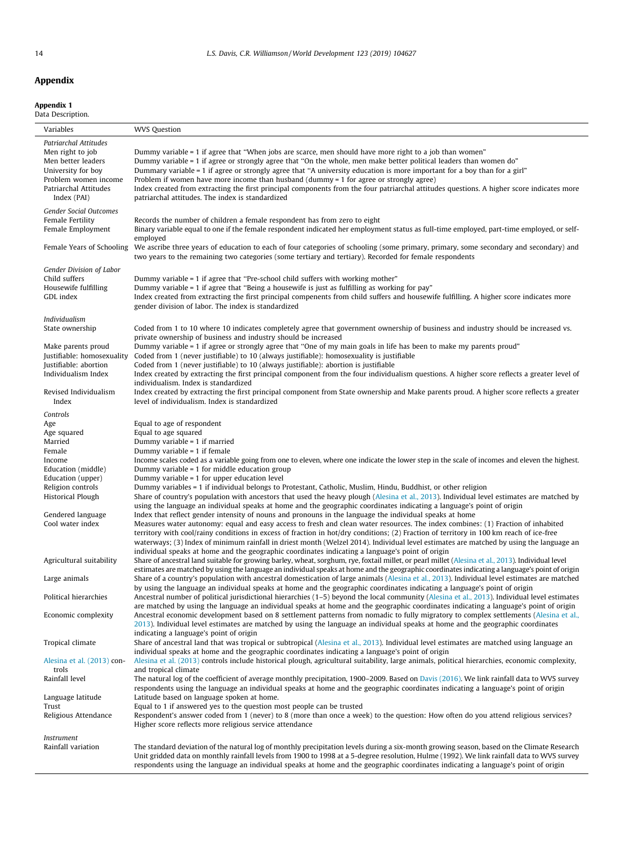Appendix 1 Data Description.

Patriarchal Attitudes

# Variables WVS Question Men right to job Dummy variable = 1 if agree that "When jobs are scarce, men should have more right to a job than women"<br>Men better leaders Dummy variable = 1 if agree or strongly agree that "On the whole, men make better Dummy variable = 1 if agree or strongly agree that "On the whole, men make better political leaders than women do"

University for boy Dummary variable = 1 if agree or strongly agree that "A university education is more important for a boy than for a girl"<br>Problem women income Problem if women have more income than husband (dummy = 1 fo Problem if women have more income than husband (dummy = 1 for agree or strongly agree) Patriarchal Attitudes Index (PAI) Index created from extracting the first principal components from the four patriarchal attitudes questions. A higher score indicates more patriarchal attitudes. The index is standardized Gender Social Outcomes<br>Female Fertility Female Fertility Records the number of children a female respondent has from zero to eight<br>Female Employment Binary variable equal to one if the female respondent indicated her employment Binary variable equal to one if the female respondent indicated her employment status as full-time employed, part-time employed, or selfemployed Female Years of Schooling We ascribe three years of education to each of four categories of schooling (some primary, primary, some secondary and secondary) and two years to the remaining two categories (some tertiary and tertiary). Recorded for female respondents Gender Division of Labor Child suffers **Dummy variable = 1** if agree that "Pre-school child suffers with working mother"<br>Housewife fulfilling **Dummy variable = 1** if agree that "Being a housewife is just as fulfilling as working Housewife fulfilling Dummy variable = 1 if agree that "Being a housewife is just as fulfilling as working for pay"<br>CDL index  $\frac{1}{2}$  Index created from extracting the first principal compenents from child suffers and hou Index created from extracting the first principal compenents from child suffers and housewife fulfilling. A higher score indicates more gender division of labor. The index is standardized Individualism State ownership Coded from 1 to 10 where 10 indicates completely agree that government ownership of business and industry should be increased vs. private ownership of business and industry should be increased Make parents proud Dummy variable = 1 if agree or strongly agree that ''One of my main goals in life has been to make my parents proud" Justifiable: homosexuality Coded from 1 (never justifiable) to 10 (always justifiable): homosexuality is justifiable Coded from 1 (never justifiable) to 10 (always justifiable): abortion is justifiable Individualism Index **Index** created by extracting the first principal component from the four individualism questions. A higher score reflects a greater level of individualism. Index is standardized Revised Individualism Index Index created by extracting the first principal component from State ownership and Make parents proud. A higher score reflects a greater level of individualism. Index is standardized Controls Age Equal to age of respondent Age squared Equal to age squared Married Dummy variable = 1 if married Dummy variable =  $1$  if female Income Income scales coded as a variable going from one to eleven, where one indicate the lower step in the scale of incomes and eleven the highest. Education (middle) Dummy variable = 1 for middle education group<br>Education (upper) Dummy variable = 1 for upper education level Dummy variable =  $1$  for upper education level Religion controls Dummy variables = 1 if individual belongs to Protestant, Catholic, Muslim, Hindu, Buddhist, or other religion Historical Plough Share of country's population with ancestors that used the heavy plough ([Alesina et al., 2013\)](#page-14-0). Individual level estimates are matched by using the language an individual speaks at home and the geographic coordinates indicating a language's point of origin Gendered language Index that reflect gender intensity of nouns and pronouns in the language the individual speaks at home Cool water index Measures water autonomy: equal and easy access to fresh and clean water resources. The index combines: (1) Fraction of inhabited territory with cool/rainy conditions in excess of fraction in hot/dry conditions; (2) Fraction of territory in 100 km reach of ice-free waterways; (3) Index of minimum rainfall in driest month (Welzel 2014). Individual level estimates are matched by using the language an individual speaks at home and the geographic coordinates indicating a language's point of origin Agricultural suitability Share of ancestral land suitable for growing barley, wheat, sorghum, rye, foxtail millet, or pearl millet ([Alesina et al., 2013](#page-14-0)). Individual level estimates are matched by using the language an individual speaks at home and the geographic coordinates indicating a language's point of origin Large animals Share of a country's population with ancestral domestication of large animals [\(Alesina et al., 2013](#page-14-0)). Individual level estimates are matched by using the language an individual speaks at home and the geographic coordinates indicating a language's point of origin Political hierarchies Ancestral number of political jurisdictional hierarchies (1–5) beyond the local community [\(Alesina et al., 2013\)](#page-14-0). Individual level estimates are matched by using the language an individual speaks at home and the geographic coordinates indicating a language's point of origin Economic complexity Ancestral economic development based on 8 settlement patterns from nomadic to fully migratory to complex settlements ([Alesina et al.,](#page-14-0) [2013](#page-14-0)). Individual level estimates are matched by using the language an individual speaks at home and the geographic coordinates indicating a language's point of origin Tropical climate Share of ancestral land that was tropical or subtropical ([Alesina et al., 2013](#page-14-0)). Individual level estimates are matched using language an individual speaks at home and the geographic coordinates indicating a language's point of origin [Alesina et al. \(2013\)](#page-14-0) controls<br>Rainfall level [Alesina et al. \(2013\)](#page-14-0) controls include historical plough, agricultural suitability, large animals, political hierarchies, economic complexity, and tropical climate The natural log of the coefficient of average monthly precipitation, 1900–2009. Based on [Davis \(2016\)](#page-14-0). We link rainfall data to WVS survey respondents using the language an individual speaks at home and the geographic coordinates indicating a language's point of origin Language latitude Latitude based on language spoken at home. Trust Equal to 1 if answered yes to the question most people can be trusted Religious Attendance Respondent's answer coded from 1 (never) to 8 (more than once a week) to the question: How often do you attend religious services? Higher score reflects more religious service attendance Instrument Rainfall variation The standard deviation of the natural log of monthly precipitation levels during a six-month growing season, based on the Climate Research Unit gridded data on monthly rainfall levels from 1900 to 1998 at a 5-degree resolution, Hulme (1992). We link rainfall data to WVS survey

respondents using the language an individual speaks at home and the geographic coordinates indicating a language's point of origin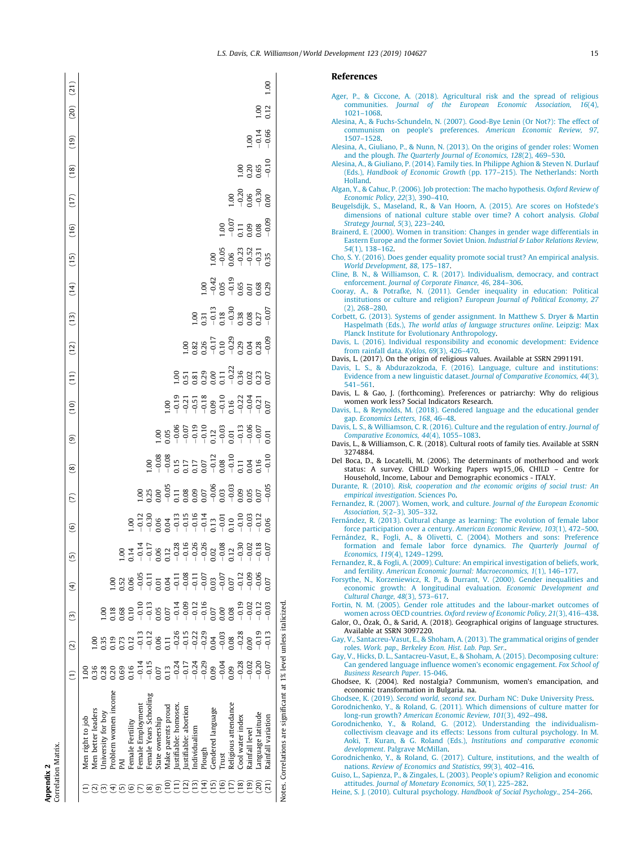| ı | ×<br>ŗ |
|---|--------|

<span id="page-14-0"></span>

| $\begin{array}{cccccccccc} 1.00 & 0.00 & 0.00 & 0.00 & 0.00 & 0.00 & 0.00 & 0.00 & 0.00 & 0.00 & 0.00 & 0.00 & 0.00 & 0.00 & 0.00 & 0.00 & 0.00 & 0.00 & 0.00 & 0.00 & 0.00 & 0.00 & 0.00 & 0.00 & 0.00 & 0.00 & 0.00 & 0.00 & 0.00 & 0.00 & 0.00 & 0.00 & 0.00 & 0.00 & 0.00 & $<br>$1.00$<br>$-0.36$<br>$-0.36$<br>$-0.71$<br>$-0.71$<br>$-0.71$<br>$-0.71$<br>$-0.71$<br>$-0.71$<br>$-0.71$<br>$-0.71$<br>$-0.71$<br>$-0.71$<br>$-0.71$<br>$-0.71$<br>$-0.71$<br>$\widehat{6}$ | 0<br>$\left( 4\right)$<br>$\widehat{\mathbf{c}}$<br>$\widehat{c}$<br>$\widehat{\Xi}$ | Men right to job | 00.1<br>$^{0.36}$<br>Aen better leaders | 0.35<br>0.28<br>Jniversity for boy | Problem women income | $\begin{array}{l} 1.006 \\ 1.036 \\ 0.051 \\ 0.050 \\ -0.051 \\ -0.051 \\ -0.051 \\ -0.051 \\ -0.051 \\ -0.051 \\ -0.051 \\ -0.051 \\ -0.051 \\ -0.051 \\ -0.051 \\ -0.051 \\ -0.051 \\ -0.051 \\ -0.051 \\ -0.051 \\ -0.051 \\ -0.051 \\ -0.051 \\ -0.051 \\ -0.051 \\ -0.051 \\ -0.051 \\ -0.051 \\ -0.051 \\ -0.051 \\ -0.$<br>$\begin{array}{cccccccccc} 0.988 & 0.0000 & 0.0000 & 0.0000 & 0.0000 & 0.0000 & 0.0000 & 0.0000 & 0.0000 & 0.0000 & 0.0000 & 0.0000 & 0.0000 & 0.0000 & 0.0000 & 0.0000 & 0.0000 & 0.0000 & 0.0000 & 0.0000 & 0.0000 & 0.0000 & 0.0000 & 0.0000 & 0.0000 & 0.0000 & 0.0$ | Female Fertility | Female Employment | Female Years Schooling | State ownership | Make parents proud | ustifiable: homosex | ustifiable: abortion | ndividualism | Gendered language | deligious attendance | $-0.19$<br>Cool water index | $-0.02$<br>ainfall level | anguage latitude | $-0.03$<br>Rainfall variation |
|-----------------------------------------------------------------------------------------------------------------------------------------------------------------------------------------------------------------------------------------------------------------------------------------------------------------------------------------------------------------------------------------------------------------------------------------------------------------------------------|--------------------------------------------------------------------------------------|------------------|-----------------------------------------|------------------------------------|----------------------|------------------------------------------------------------------------------------------------------------------------------------------------------------------------------------------------------------------------------------------------------------------------------------------------------------------------------------------------------------------------------------------------------------------------------------------------------------------------------------------------------------------------------------------------------------------------------------------------------------|------------------|-------------------|------------------------|-----------------|--------------------|---------------------|----------------------|--------------|-------------------|----------------------|-----------------------------|--------------------------|------------------|-------------------------------|
|                                                                                                                                                                                                                                                                                                                                                                                                                                                                                   | $\overline{C}$                                                                       |                  |                                         |                                    |                      |                                                                                                                                                                                                                                                                                                                                                                                                                                                                                                                                                                                                            |                  |                   |                        |                 |                    |                     |                      |              |                   |                      |                             |                          |                  |                               |
|                                                                                                                                                                                                                                                                                                                                                                                                                                                                                   | ම                                                                                    |                  |                                         |                                    |                      |                                                                                                                                                                                                                                                                                                                                                                                                                                                                                                                                                                                                            |                  |                   |                        |                 |                    |                     |                      |              |                   |                      |                             |                          |                  |                               |
| $\begin{array}{l} 1.00\\ 1.05\\ 0.6\\ -0.07\\ -0.12\\ -0.03\\ -0.03\\ -0.03\\ -0.01\\ -0.05\\ -0.01\\ -0.01\\ -0.01\\ -0.01\\ -0.01\\ -0.01\\ -0.01\\ -0.01\\ -0.01\\ -0.01\\ -0.01\\ -0.01\\ -0.01\\ -0.01\\ -0.01\\ -0.01\\ -0.01\\ -0.01\\ -0.01\\ -0.01\\ -0.01\\ -0.01\\ -0.01\\ -0.01\\ -0.01\\ -0.0$                                                                                                                                                                       |                                                                                      |                  |                                         |                                    |                      |                                                                                                                                                                                                                                                                                                                                                                                                                                                                                                                                                                                                            |                  |                   |                        |                 |                    |                     |                      |              |                   |                      |                             |                          |                  |                               |
| $1.00$<br>$-0.71$<br>$-0.51$<br>$-0.51$<br>$-0.30$<br>$-0.51$<br>$-0.20$<br>$-0.21$<br>$-0.21$<br>$-0.21$<br>$-0.21$<br>(10)                                                                                                                                                                                                                                                                                                                                                      | (12)                                                                                 |                  |                                         |                                    |                      |                                                                                                                                                                                                                                                                                                                                                                                                                                                                                                                                                                                                            |                  |                   |                        |                 |                    |                     |                      |              |                   |                      |                             |                          |                  |                               |
| $1.09$<br>$3.8$<br>$3.8$<br>$-1.7$<br>$-1.7$<br>$-1.8$<br>$-1.7$<br>$-1.8$<br>$-1.7$<br>$-1.7$<br>$-1.7$<br>$-1.7$<br>$-1.7$<br>$-1.7$<br>(11)                                                                                                                                                                                                                                                                                                                                    | (13)                                                                                 |                  |                                         |                                    |                      |                                                                                                                                                                                                                                                                                                                                                                                                                                                                                                                                                                                                            |                  |                   |                        |                 |                    |                     |                      |              |                   |                      |                             |                          |                  |                               |
| $1.00$<br>$3.31$<br>$-0.31$<br>$-0.30$<br>$-0.07$<br>$-0.07$                                                                                                                                                                                                                                                                                                                                                                                                                      | (14)                                                                                 |                  |                                         |                                    |                      |                                                                                                                                                                                                                                                                                                                                                                                                                                                                                                                                                                                                            |                  |                   |                        |                 |                    |                     |                      |              |                   |                      |                             |                          |                  |                               |
| $1.00$<br>$-0.42$<br>$-0.5$<br>$-0.5$<br>$-0.5$<br>$-0.5$<br>$-0.5$<br>$-0.5$<br>$-0.29$                                                                                                                                                                                                                                                                                                                                                                                          |                                                                                      |                  |                                         |                                    |                      |                                                                                                                                                                                                                                                                                                                                                                                                                                                                                                                                                                                                            |                  |                   |                        |                 |                    |                     |                      |              |                   |                      |                             |                          |                  |                               |
| 1998<br>1998<br>1999 1999<br>(15)                                                                                                                                                                                                                                                                                                                                                                                                                                                 |                                                                                      |                  |                                         |                                    |                      |                                                                                                                                                                                                                                                                                                                                                                                                                                                                                                                                                                                                            |                  |                   |                        |                 |                    |                     |                      |              |                   |                      |                             |                          |                  |                               |
| $1.00$<br>$-0.07$<br>$-0.08$<br>$-0.08$<br>$-0.08$<br>$(16)$                                                                                                                                                                                                                                                                                                                                                                                                                      |                                                                                      |                  |                                         |                                    |                      |                                                                                                                                                                                                                                                                                                                                                                                                                                                                                                                                                                                                            |                  |                   |                        |                 |                    |                     |                      |              |                   |                      |                             |                          |                  |                               |
| (17)                                                                                                                                                                                                                                                                                                                                                                                                                                                                              |                                                                                      |                  |                                         |                                    |                      |                                                                                                                                                                                                                                                                                                                                                                                                                                                                                                                                                                                                            |                  |                   |                        |                 |                    |                     |                      |              |                   |                      |                             |                          |                  |                               |
| $1.00$<br>0.20<br>0.65<br>-0.10<br>(18)                                                                                                                                                                                                                                                                                                                                                                                                                                           |                                                                                      |                  |                                         |                                    |                      |                                                                                                                                                                                                                                                                                                                                                                                                                                                                                                                                                                                                            |                  |                   |                        |                 |                    |                     |                      |              |                   |                      |                             |                          |                  |                               |
| (20)<br>$\frac{100}{112}$<br>8 7 4<br>9 7 4<br>9 9 9<br>(19)                                                                                                                                                                                                                                                                                                                                                                                                                      | (21)                                                                                 |                  |                                         |                                    |                      |                                                                                                                                                                                                                                                                                                                                                                                                                                                                                                                                                                                                            |                  |                   |                        |                 |                    |                     |                      |              |                   |                      |                             |                          |                  | 00.1                          |

Notes. Correlations are significant at 1% level unless italicized.

Notes. Correlations are significant

unless italicized

level 1  $1\%$  $\overline{\mathrm{a}}$ 

#### References

- [Ager, P., & Ciccone, A. \(2018\). Agricultural risk and the spread of religious](http://refhub.elsevier.com/S0305-750X(19)30275-X/h9000) communities. [Journal of the European Economic Association, 16](http://refhub.elsevier.com/S0305-750X(19)30275-X/h9000)(4), [1021–1068.](http://refhub.elsevier.com/S0305-750X(19)30275-X/h9000)
- [Alesina, A., & Fuchs-Schundeln, N. \(2007\). Good-Bye Lenin \(Or Not?\): The effect of](http://refhub.elsevier.com/S0305-750X(19)30275-X/h0010) [communism on people's preferences.](http://refhub.elsevier.com/S0305-750X(19)30275-X/h0010) American Economic Review, 97, [1507–1528.](http://refhub.elsevier.com/S0305-750X(19)30275-X/h0010)
- [Alesina, A., Giuliano, P., & Nunn, N. \(2013\). On the origins of gender roles: Women](http://refhub.elsevier.com/S0305-750X(19)30275-X/h0015) and the plough. [The Quarterly Journal of Economics, 128](http://refhub.elsevier.com/S0305-750X(19)30275-X/h0015)(2), 469–530.
- [Alesina, A., & Giuliano, P. \(2014\). Family ties. In Philippe Aghion & Steven N. Durlauf](http://refhub.elsevier.com/S0305-750X(19)30275-X/h0020) (Eds.), Handbook of Economic Growth [\(pp. 177–215\). The Netherlands: North](http://refhub.elsevier.com/S0305-750X(19)30275-X/h0020) [Holland](http://refhub.elsevier.com/S0305-750X(19)30275-X/h0020).
- [Algan, Y., & Cahuc, P. \(2006\). Job protection: The macho hypothesis.](http://refhub.elsevier.com/S0305-750X(19)30275-X/h0025) Oxford Review of [Economic Policy, 22](http://refhub.elsevier.com/S0305-750X(19)30275-X/h0025)(3), 390–410.
- [Beugelsdijk, S., Maseland, R., & Van Hoorn, A. \(2015\). Are scores on Hofstede's](http://refhub.elsevier.com/S0305-750X(19)30275-X/h0030) [dimensions of national culture stable over time? A cohort analysis.](http://refhub.elsevier.com/S0305-750X(19)30275-X/h0030) Global [Strategy Journal, 5](http://refhub.elsevier.com/S0305-750X(19)30275-X/h0030)(3), 223–240.
- [Brainerd, E. \(2000\). Women in transition: Changes in gender wage differentials in](http://refhub.elsevier.com/S0305-750X(19)30275-X/h0035) [Eastern Europe and the former Soviet Union.](http://refhub.elsevier.com/S0305-750X(19)30275-X/h0035) Industrial & Labor Relations Review, 54[\(1\), 138–162.](http://refhub.elsevier.com/S0305-750X(19)30275-X/h0035)
- [Cho, S. Y. \(2016\). Does gender equality promote social trust? An empirical analysis.](http://refhub.elsevier.com/S0305-750X(19)30275-X/h0040) [World Development, 88](http://refhub.elsevier.com/S0305-750X(19)30275-X/h0040), 175–187.
- [Cline, B. N., & Williamson, C. R. \(2017\). Individualism, democracy, and contract](http://refhub.elsevier.com/S0305-750X(19)30275-X/h0045) enforcement. [Journal of Corporate Finance, 46](http://refhub.elsevier.com/S0305-750X(19)30275-X/h0045), 284–306.
- [Cooray, A., & Potrafke, N. \(2011\). Gender inequality in education: Political](http://refhub.elsevier.com/S0305-750X(19)30275-X/h0050) institutions or culture and religion? [European Journal of Political Economy, 27](http://refhub.elsevier.com/S0305-750X(19)30275-X/h0050) [\(2\), 268–280](http://refhub.elsevier.com/S0305-750X(19)30275-X/h0050).
- [Corbett, G. \(2013\). Systems of gender assignment. In Matthew S. Dryer & Martin](http://refhub.elsevier.com/S0305-750X(19)30275-X/h0055) Haspelmath (Eds.), [The world atlas of language structures online](http://refhub.elsevier.com/S0305-750X(19)30275-X/h0055). Leipzig: Max [Planck Institute for Evolutionary Anthropology.](http://refhub.elsevier.com/S0305-750X(19)30275-X/h0055)
- [Davis, L. \(2016\). Individual responsibility and economic development: Evidence](http://refhub.elsevier.com/S0305-750X(19)30275-X/h0060) [from rainfall data.](http://refhub.elsevier.com/S0305-750X(19)30275-X/h0060) Kyklos, 69(3), 426–470.
- Davis, L. (2017). On the origin of religious values. Available at SSRN 2991191.
- [Davis, L. S., & Abdurazokzoda, F. \(2016\). Language, culture and institutions:](http://refhub.elsevier.com/S0305-750X(19)30275-X/h0070) [Evidence from a new linguistic dataset.](http://refhub.elsevier.com/S0305-750X(19)30275-X/h0070) Journal of Comparative Economics, 44(3), [541–561](http://refhub.elsevier.com/S0305-750X(19)30275-X/h0070).
- Davis, L. & Gao, J. (forthcoming). Preferences or patriarchy: Why do religious women work less? Social Indicators Research.
- [Davis, L., & Reynolds, M. \(2018\). Gendered language and the educational gender](http://refhub.elsevier.com/S0305-750X(19)30275-X/h0080) gap. [Economics Letters, 168](http://refhub.elsevier.com/S0305-750X(19)30275-X/h0080), 46–48.
- [Davis, L. S., & Williamson, C. R. \(2016\). Culture and the regulation of entry.](http://refhub.elsevier.com/S0305-750X(19)30275-X/h0085) Journal of [Comparative Economics, 44](http://refhub.elsevier.com/S0305-750X(19)30275-X/h0085)(4), 1055–1083.
- Davis, L., & Williamson, C. R. (2018). Cultural roots of family ties. Available at SSRN 3274884.
- Del Boca, D., & Locatelli, M. (2006). The determinants of motherhood and work status: A survey. CHILD Working Papers wp15\_06, CHILD – Centre for Household, Income, Labour and Demographic economics - ITALY.
- Durante, R. (2010). [Risk, cooperation and the economic origins of social trust: An](http://refhub.elsevier.com/S0305-750X(19)30275-X/h0100) [empirical investigation](http://refhub.elsevier.com/S0305-750X(19)30275-X/h0100). Sciences Po.
- [Fernandez, R. \(2007\). Women, work, and culture.](http://refhub.elsevier.com/S0305-750X(19)30275-X/h0105) Journal of the European Economic Association, 5[\(2–3\), 305–332.](http://refhub.elsevier.com/S0305-750X(19)30275-X/h0105)
- [Fernández, R. \(2013\). Cultural change as learning: The evolution of female labor](http://refhub.elsevier.com/S0305-750X(19)30275-X/h0110) [force participation over a century.](http://refhub.elsevier.com/S0305-750X(19)30275-X/h0110) American Economic Review, 103(1), 472–500.
- [Fernández, R., Fogli, A., & Olivetti, C. \(2004\). Mothers and sons: Preference](http://refhub.elsevier.com/S0305-750X(19)30275-X/h0115) [formation and female labor force dynamics.](http://refhub.elsevier.com/S0305-750X(19)30275-X/h0115) The Quarterly Journal of Economics, 119[\(4\), 1249–1299.](http://refhub.elsevier.com/S0305-750X(19)30275-X/h0115)
- [Fernandez, R., & Fogli, A. \(2009\). Culture: An empirical investigation of beliefs, work,](http://refhub.elsevier.com/S0305-750X(19)30275-X/h0120) and fertility. [American Economic Journal: Macroeconomics, 1](http://refhub.elsevier.com/S0305-750X(19)30275-X/h0120)(1), 146–177.
- [Forsythe, N., Korzeniewicz, R. P., & Durrant, V. \(2000\). Gender inequalities and](http://refhub.elsevier.com/S0305-750X(19)30275-X/h0125) [economic growth: A longitudinal evaluation.](http://refhub.elsevier.com/S0305-750X(19)30275-X/h0125) Economic Development and [Cultural Change, 48](http://refhub.elsevier.com/S0305-750X(19)30275-X/h0125)(3), 573–617.

[Fortin, N. M. \(2005\). Gender role attitudes and the labour-market outcomes of](http://refhub.elsevier.com/S0305-750X(19)30275-X/h0130) women across OECD countries. [Oxford review of Economic Policy, 21](http://refhub.elsevier.com/S0305-750X(19)30275-X/h0130)(3), 416–438.

- Galor, O., Özak, Ö., & Sarid, A. (2018). Geographical origins of language structures. Available at SSRN 3097220.
- [Gay, V., Santacreu-Vasut, E., & Shoham, A. \(2013\). The grammatical origins of gender](http://refhub.elsevier.com/S0305-750X(19)30275-X/h0140) roles. [Work. pap., Berkeley Econ. Hist. Lab. Pap. Ser.](http://refhub.elsevier.com/S0305-750X(19)30275-X/h0140).
- [Gay, V., Hicks, D. L., Santacreu-Vasut, E., & Shoham, A. \(2015\). Decomposing culture:](http://refhub.elsevier.com/S0305-750X(19)30275-X/h0145) [Can gendered language influence women's economic engagement.](http://refhub.elsevier.com/S0305-750X(19)30275-X/h0145) Fox School of [Business Research Paper](http://refhub.elsevier.com/S0305-750X(19)30275-X/h0145). 15-046.
- Ghodsee, K. (2004). Red nostalgia? Communism, women's emancipation, and economic transformation in Bulgaria. na.
- Ghodsee, K. (2019). Second world, second sex[. Durham NC: Duke University Press.](http://refhub.elsevier.com/S0305-750X(19)30275-X/h0155)
- [Gorodnichenko, Y., & Roland, G. \(2011\). Which dimensions of culture matter for](http://refhub.elsevier.com/S0305-750X(19)30275-X/h0160) long-run growth? [American Economic Review, 101](http://refhub.elsevier.com/S0305-750X(19)30275-X/h0160)(3), 492–498.
- [Gorodnichenko, Y., & Roland, G. \(2012\). Understanding the individualism](http://refhub.elsevier.com/S0305-750X(19)30275-X/h0165)[collectivism cleavage and its effects: Lessons from cultural psychology. In M.](http://refhub.elsevier.com/S0305-750X(19)30275-X/h0165) Aoki, T. Kuran, & G. Roland (Eds.), [Institutions and comparative economic](http://refhub.elsevier.com/S0305-750X(19)30275-X/h0165) development[. Palgrave McMillan.](http://refhub.elsevier.com/S0305-750X(19)30275-X/h0165)
- [Gorodnichenko, Y., & Roland, G. \(2017\). Culture, institutions, and the wealth of](http://refhub.elsevier.com/S0305-750X(19)30275-X/h0170) nations. [Review of Economics and Statistics, 99](http://refhub.elsevier.com/S0305-750X(19)30275-X/h0170)(3), 402–416.

[Guiso, L., Sapienza, P., & Zingales, L. \(2003\). People's opium? Religion and economic](http://refhub.elsevier.com/S0305-750X(19)30275-X/h0175) attitudes. [Journal of Monetary Economics, 50](http://refhub.elsevier.com/S0305-750X(19)30275-X/h0175)(1), 225–282.

[Heine, S. J. \(2010\). Cultural psychology.](http://refhub.elsevier.com/S0305-750X(19)30275-X/h0180) Handbook of Social Psychology., 254–266.